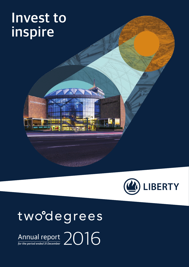# Invest to inspire

SANDTON CITY



# two°degrees  $A$ nnual report<br>For the period ended 31 December<br> $\sum$ Annual report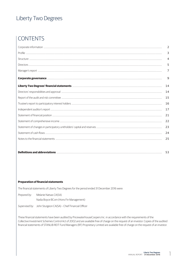# **CONTENTS**

|    | 2              |
|----|----------------|
|    | 3              |
|    | $\overline{4}$ |
|    | 5              |
|    | 7              |
|    | 9              |
| 14 |                |
| 14 |                |
| 15 |                |
| 16 |                |
| 17 |                |
| 21 |                |
| 22 |                |
| 23 |                |
| 24 |                |
| 25 |                |

#### **Definitions and abbreviations**

#### **Preparation of financial statements**

The financial statements of Liberty Two Degrees for the period ended 31 December 2016 were:

Prepared by: Melanie Natsas CA(SA) Nadia Boyce BCom (Hons Fin Management)

Supervised by: John Sturgeon CA(SA) - Chief Financial Officer

These financial statements have been audited by PricewaterhouseCoopers Inc. in accordance with the requirements of the Collective Investment Schemes Control Act of 2002 and are available free of charge on the request of an investor. Copies of the audited financial statements of STANLIB REIT Fund Managers (RF) Proprietary Limited are available free of charge on the request of an investor.

53

 $\overline{\mathcal{L}}$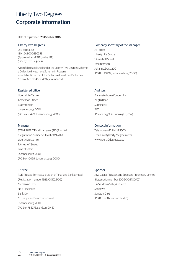# Liberty Two Degrees Corporate information

Date of registration: 28 October 2016

#### Liberty Two Degrees

JSE code: L2D ISIN: ZAE000230553 (Approved as a REIT by the JSE) (Liberty Two Degrees)

A portfolio established under the Liberty Two Degrees Scheme, a Collective Investment Scheme in Property established in terms of the Collective Investment Schemes Control Act, No 45 of 2002, as amended.

#### Company secretary of the Manager

Jill Parratt Liberty Life Centre 1 Ameshoff Street Braamfontein Johannesburg, 2001 (PO Box 10499, Johannesburg, 2000)

#### Registered office

Liberty Life Centre 1 Ameshoff Street Braamfontein Johannesburg, 2001 (PO Box 10499, Johannesburg, 2000)

#### Manager

STANLIB REIT Fund Managers (RF) (Pty) Ltd (Registration number 2007/029492/07) Liberty Life Centre 1 Ameshoff Street Braamfontein Johannesburg, 2001 (PO Box 10499, Johannesburg, 2000)

#### Trustee

RMB Trustee Services, a division of FirstRand Bank Limited (Registration number 1929/001225/06) Mezzanine Floor No 3 First Place Bank City Cnr Jeppe and Simmonds Street Johannesburg, 2001 (PO Box 786273, Sandton, 2146)

### Auditors

PricewaterhouseCoopers Inc. 2 Eglin Road Sunninghill 2157 (Private Bag X36, Sunninghill, 2157)

#### Contact information

Telephone: +27 11 448 5500 Email: info@liberty2degrees.co.za www.liberty2degrees.co.za

#### Sponsor

Java Capital Trustees and Sponsors Proprietary Limited (Registration number 2006/005780/07) 6A Sandown Valley Crescent Sandown Sandton, 2196 (PO Box 2087, Parklands, 2121)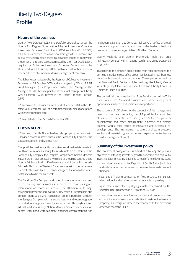# Liberty Two Degrees Profile

### **Nature of the business**

Liberty Two Degrees (L2D) is a portfolio established under the Liberty Two Degrees Scheme (the Scheme) in terms of Collective Investment Schemes Control Act, 2002 (Act No. 45 of 2002) (CISCA), as amended, to afford investors growth in income and capital by investing at fair prices in a balanced spread of immovable properties and related assets permitted by the Trust Deed. L2D is required by Collective Investment Schemes Control Act to be structured as a JSE-listed portfolio within a trust with an external independent trustee and an external management company.

The Scheme was registered by the Registrar of Collective Investment Schemes on 28 October 2016 and is managed by STANLIB REIT Fund Managers (RF) Proprietary Limited (the Manager). The Manager has also been appointed as the asset manager of Liberty Group Limited (LGL)'s interest in the Liberty Property Portfolio (LPP).

L2D acquired its undivided shares (and other interests) in the LPP effective 1 December 2016 and commenced its business operations with effect from that date.

L2D was listed on the JSE on 6 December 2016.

### **History of L2D**

L2D is one of South Africa's leading retail property portfolios with undivided shares in assets such as the Sandton City Complex, the Eastgate Complex and Melrose Arch.

The portfolio predominantly comprises retail real-estate assets in South Africa. In Johannesburg, the retail assets are an interest in the Sandton City Complex, the Eastgate Complex and Nelson Mandela Square. Other retail assets are two regional shopping centres, being Liberty Midlands Mall in KwaZulu-Natal and Liberty Promenade Mitchells Plain in the Western Cape, an interest in the mixed-use precinct of Melrose Arch in Johannesburg and the newly developed Botshabelo Mall in the Free State.

The Sandton City Complex is situated in the economic heartland of the country and showcases some of the most prestigious international and domestic retailers. The attraction of its longestablished presence and overall quality make it irreplaceable and confers brand-value and recognition on the portfolio. Similarly, the Eastgate Complex, with its strong history and recent upgrade, is located in a large catchment area with main thoroughfare and arterial road accessibility. Nelson Mandela Square is a destination centre with good entertainment offerings complementing the

neighbouring Sandton City Complex. Melrose Arch's office and retail component supports its status as one of the leading mixed use precincts in Johannesburg's high end Northern Suburbs.

Liberty Midlands and Liberty Promenade Malls are large high-quality centres within regional catchment areas positioned for growth.

In addition to the offices included in the main retail complexes, the portfolio includes select office properties located in key business nodes with blue-chip anchor tenants. These properties include the Standard Bank Centre in Johannesburg, the Liberty Centre in Century City Office Park in Cape Town and Liberty Centre in Umhlanga Ridge in Durban.

The portfolio also includes the John Ross Eco-Junction in KwaZulu-Natal, where the Melomed Hospital and other development opportunities will provide diversification opportunities.

The structure of L2D allows for the continuity of the management team that has been managing the LPP portfolio for a number of years. L2D benefits from Liberty and STANLIB's property development and asset management expertise and history, together with a track record of innovation and successful redevelopments. The management structure and team preserve institutional oversight, governance and expertise, while leaving room for management talent.

### **Summary of the investment policy**

The investment policy of L2D is aimed at achieving the primary objective of affording investors growth in income and capital by investing at fair prices in a balanced spread of the following assets:

- immovable property in the Republic of South Africa (including undivided shares or other interests therein or leasehold in respect thereof);
- securities of holding companies or fixed property companies, which will indirectly or directly own immovable properties;
- liquid assets and other qualifying assets determined by the Registrar in terms of section 47(2) of the CISCA; or
- immovable property in a foreign country and property shares or participatory interests in a collective investment scheme in property in a foreign country, in accordance with the provisions of section 49 of the CISCA.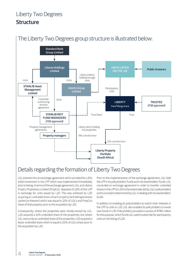# Liberty Two Degrees **Structure**



# Details regarding the formation of Liberty Two Degrees

LGL entered into an exchange agreement which provided for L2D's initial investment in the LPP which was implemented immediately prior to listing. In terms of the exchange agreement, LGL and Liberty PropCo Proprietary Limited (PropCo) disposed of 22% of the LPP in exchange for units issued by L2D. This was achieved by L2D acquiring an undivided share of each property (and letting business carried on thereon) which was equal to 22% of LGL's and PropCo's share of that property prior to the acquisition by L2D.

Consequently, where the properties were wholly-owned by LGL, L2D acquired a 22% undivided share of the properties, but where LGL owns only an undivided share of the properties, L2D acquired a lesser undivided share which is equal to 22% of LGL's share prior to the acquisition by L2D.

Prior to the implementation of the exchange agreement, LGL held the LPP in its policyholders' funds and in its shareholders' funds. LGL concluded an exchange agreement in order to transfer undivided shares in the LPP to L2D to the extent elected by LGL's policyholders and to an extent determined by LGL in dealing with its shareholders' funds.

In addition to enabling its policyholders to switch their interests in the LPP to units in L2D, LGL also enabled its policyholders to invest new funds in L2D. Policyholders provided in excess of R780 million for this purpose, which funds LGL used to subscribe for participatory units on the listing of L2D.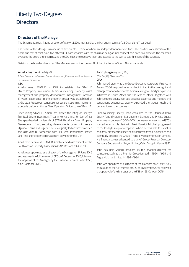# Liberty Two Degrees **Directors**

### **Directors of the Manager**

The Scheme as a trust has no directors of its own. L2D is managed by the Manager in terms of CISCA and the Trust Deed.

The board of the Manager is made up of five directors, three of whom are independent non-executives. The positions of chairman of the board and that of chief executive officer (CEO) are separate, with the chairman being an independent non-executive director. The chairman oversees the board's functioning, and the CEO leads the executive team and attends to the day-to-day functions of the business.

Details of the board of directors of the Manager are outlined below. All of the directors are South African nationals.

#### Amelia Beattie *(Amelia) (46)*

B Com, Certificate in Shopping Centre Management, Fellow of the Royal Institute of Chartered Surveyors

#### **CEO**

Amelia joined STANLIB in 2012 to establish the STANLIB Direct Property Investment business including property asset management and property development management. Amelia's 17 years' experience in the property sector was established at Old Mutual Property, in various senior positions spanning more than a decade, before exiting as Chief Operating Officer to join STANLIB.

Since joining STANLIB, Amelia has piloted the listing of Liberty's first Real Estate Investment Trust in Kenya, a first for East Africa. She spearheaded the launch of STANLIB's Africa Direct Property Development fund, securing developments projects in Kenya, Uganda, Ghana and Nigeria. She strategically led and implemented the joint venture transaction with JHI Retail Proprietary Limited (JHI Retail) for property management services for the LPP.

Apart from her role at STANLIB, Amelia served as President for the South African Property Association (SAPOA) from 2014 to 2015.

Amelia was appointed as a director of the Manager on 17 June 2016 and assumed the full time role of CEO on 1 December 2016, following the approval of the Manager by the Financial Services Board (FSB) on 28 October 2016.

#### John Sturgeon *(John) (64)* CTA, CA(SA), CMA, HDIP TAX **CFO**

John joined Liberty as the Group Executive Corporate Finance in August 2004, responsible for and not limited to the oversight and management of all corporate action relating to Liberty's expansion initiatives in South Africa and the rest of Africa. Together with John's strategic guidance, due diligence expertise and mergers and acquisitions experience, Liberty expanded the groups reach and penetration on the continent.

Prior to joining Liberty, John consulted to the Standard Bank Equity Fund division on Management Buyouts and Private Equity Investments between 2000 – 2004. John's early career in the 1970's started as an article clerk with Peat Marwick Mitchell, progressed to the Dorbyl Group of companies where he was able to establish and grow his financial expertise by occupying various positions and eventually become the Group Financial Manager for Calan Limited. His financial career advanced to that of Group Financial Director/ Company Secretary for Natyre Limited/Calan Group in May of 1982.

John has held various positions as the financial director for companies such as the Premier Group Limited in 1994 – 1999 and Argus Holdings Limited in 1993 – 1994.

John was appointed as a director of the Manager on 26 May 2015 and assumed the full time role of CFO on 1 December 2016, following the approval of the Manager by the FSB on 28 October 2016.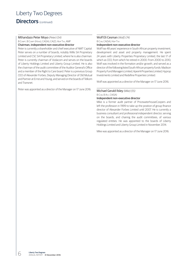# Directors (continued)

#### Mthandazo Peter Moyo *(Peter) (54)*

B COMPT, B COMPT (HONS), CA(SA), CA(Z), HDIP TAX, AMP Chairman, independent non-executive director

Peter is currently a shareholder and chief executive of NMT Capital. Peter serves on a number of boards, notably Willis SA Proprietary Limited and CSC SA Proprietary Limited, where he is also chairman. Peter is currently chairman of Vodacom and serves on the boards of Liberty Holdings Limited and Liberty Group Limited. He is also the chairman of the audit committee of the Auditor General's Office and a member of the Right to Care board. Peter is a previous Group CEO of Alexander Forbes, Deputy Managing Director of Old Mutual and Partner at Ernst and Young, and served on the boards of Telkom and Transnet.

Peter was appointed as a director of the Manager on 17 June 2016.

### Wolf Eli Cesman *(Wolf) (74)*

#### **B Сом, CA(SA), HDIP TAX** Independent non-executive director

Wolf has 48 years' experience in South African property investment, development and asset and property management. He spent 24 vears with Liberty Properties Proprietary Limited, the last 17 of which as CEO, from which he retired in 2000. From 2000 to 2010, Wolf was involved in the formation and/or growth, and served as a director of the following listed South African property funds: Madison Property Fund Managers Limited, ApexHi Properties Limited, Hyprop Investments Limited and Redefine Properties Limited.

Wolf was appointed as a director of the Manager on 17 June 2016.

#### Michael Gerald Ilsley *(Mike) (55)* B Com, B Acc, CA(SA)

#### Independent non-executive director

Mike is a former audit partner of PricewaterhouseCoopers and left the profession in 1999 to take up the position of group finance director of Alexander Forbes Limited until 2007. He is currently a business consultant and professional independent director, serving on the boards, and chairing the audit committees, of various regulated entities. He was appointed to the boards of Liberty Holdings Limited and Liberty Group Limited in November 2014.

Mike was appointed as a director of the Manager on 17 June 2016.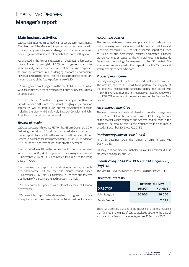# Liberty Two Degrees Manager's report

### **Main business activities**

L2D is a REIT invested in South African direct property investments. The objective of the Manager is to protect and grow the real wealth of investors by providing sustainable growth in net asset value and delivering a consistent income stream that has potential to grow.

As disclosed in the Pre-Listing Statement (PLS), L2D is forecast to have a 12 month forward yield of 6.5% on an ungeared basis for the 2017 financial year. The defensive nature of the portfolio is expected to drive performance in a challenging economic environment. However, it should be noted, that the past performance of the LPP is not indicative of the future performance of L2D.

L2D is ungeared post listing and will be able to take on debt (in line with gearing levels in the sector) to fund future quality acquisitions. as appropriate.

In the short term, L2D will focus its growth strategy in South Africa. Growth is expected to come from identified high quality acquisition targets, as well as from L2D's current development pipeline including the Liberty Midlands Mall, Eastgate Complex and John Ross Eco-Junction – Melomed Hospital.

### *Review of results*

L2D was successfully listed as a REIT on the JSE on 6 December 2016. Following the listing L2D held an undivided share in an iconic property portfolio of R6 billion that was acquired from Liberty Group Limited in exchange for listed participatory units in L2D. In addition R2,78 billion of funds were raised in the private placement.

The market value uplift on the portfolio contributed to a net asset value per unit of R9,64 at the year end. The closing share price at 31 December 2016 of R10,50 compared favourably to the listing price of R10,00.

The manager has approved a distribution of 4,85 cents per participatory unit for the one month period ended 31 December 2016. This is substantially in line with the forecast distribution of 4,93 cents per unit disclosed in the PLS.

L2D uses distribution per unit as a relevant measure of financial performance.

L2D has sufficient capital to hand to enable it to progress discussions to acquire further investments aligned with its investment strategy.

### *Accounting policies*

The financial statements have been prepared in accordance with and containing information required by International Financial Reporting Standards (IFRS), the SAICA Financial Reporting Guides as issued by the Accounting Practices Committee, Financial pronouncements as issued by the Financial Reporting Standards Council and the Listings Requirements of the JSE Limited. The accounting policies applied in the preparation of the 2016 financial statements are as detailed in note 1.

#### *Property management*

Property management is outsourced to external service providers. The amount paid to JHI Retail (who perform the majority of the property management functions) during the period was R1 367 653. Amdec Investments Proprietary Limited (Amdec) were paid R38 674 in respect of the management of the Melrose Arch precinct.

#### *Asset management fee*

The asset management fee is calculated as a monthly management fee of  $1/12$  of 0,4% of the enterprise value of L2D (being the sum of the market capitalisation of the Scheme and all debt in the Scheme). The amount paid to the Manager for the one month ended 31 December 2016 was R2 201 813.

#### *Participatory units in issue (units)*

As at 31 December 2016 the number of units in issue was 908 443 335.

An analysis of participatory unitholders as at 31 December 2016 is presented on pages 51 and 52.

### *Shareholding in STANLIB REIT Fund Managers (RF) (Pty) Ltd*

The Manager is 100% owned by Liberty Holdings Limited (LHL).

#### Directors' interests

|                 | <b>BENEFICIAL UNITS</b> |                 |  |
|-----------------|-------------------------|-----------------|--|
| <b>DIRECTOR</b> | <b>DIRECT</b>           | <b>INDIRECT</b> |  |
| John Sturgeon   | 60000                   | 30000           |  |
| Amelia Beattie  |                         | 2 5 4 1         |  |

There have been no changes to the interests of directors, including their families, in the units of L2D as disclosed above to the date of approval of the financial statements, namely 15 February 2017.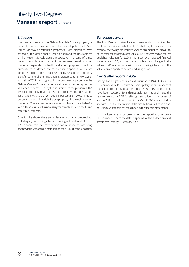# Liberty Two Degrees **Manager's report (continued)**

### *Litigation*

The central square in the Nelson Mandela Square property is dependent on vehicular access to the nearest public road, West Street, via two neighbouring properties. Both properties were owned by the local authority when it approved the development of the Nelson Mandela Square property on the basis of a site development plan that provided for access over the neighbouring properties especially for health and safety purposes. The local authority then allowed access over its properties, which has continued uninterrupted since 1994. During 2013 the local authority transferred one of the neighbouring properties to a new owner, who, since 2015, has sought to limit access over its property to the Nelson Mandela Square property and who has, since September 2016, denied access. Liberty Group Limited, as the previous 100% owner of the Nelson Mandela Square property, instituted action for a right of way so that vehicles and pedestrians may continue to access the Nelson Mandela Square property via the neighbouring properties. There is no alternative route which would be suitable for vehicular access, which is necessary for compliance with health and safety requirements.

Save for the above, there are no legal or arbitration proceedings, including any proceedings that are pending or threatened, of which L2D is aware, that may have or have had in the recent past, being the previous 12 months, a material effect on L2D's financial position.

#### *Borrowing powers*

The Trust Deed authorises L2D to borrow funds but provides that the total consolidated liabilities of L2D shall not, if measured when any new borrowings are incurred, exceed an amount equal to 60% of the total consolidated asset value of L2D, determined on the last published valuation for L2D in the most recent audited financial statements of L2D, adjusted for any subsequent changes in the value of L2D in accordance with IFRS and taking into account the value of any property to be acquired using a loan.

#### *Events after reporting date*

Liberty Two Degrees declared a distribution of R44 063 756 on 16 February 2017 (4,85 cents per participatory unit) in respect of the period from listing to 31 December 2016. These distributions have been declared from distributable earnings and meet the requirements of a REIT "qualifying distribution" for purposes of section 25BB of the Income Tax Act, No 58 of 1962, as amended. In line with IFRS, the declaration of the distribution resulted in a nonadjusting event that is not recognised in the financial statements.

No significant events occurred after the reporting date, being 31 December 2016, to the date of approval of the audited financial statements, namely 15 February 2017.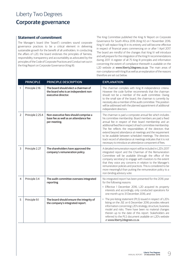# Liberty Two Degrees Corporate governance

### **Statement of commitment**

The Manager's board (the "board") considers sound corporate governance practices to be a critical element in delivering sustainable growth for the benefit of all unitholders. In conducting the affairs of L2D, the board endorses the principles of fairness, responsibility, transparency and accountability as advocated by the principles of the Code of Corporate Practices and Conduct set out in the King Report on Corporate Governance (King III).

The King Committee published the King IV Report on Corporate Governance for South Africa 2016 (King IV) on 1 November 2016. King IV will replace King III in its entirety and will become effective in respect of financial years commencing on or after 1 April 2017. The board are mindful of the changes that King IV will introduce and will prepare for the integration of the King IV recommendations during 2017. A register of all 75 King III principles and information concerning the extent of compliance therewith is available on the L2D website at www.liberty2degrees.co.za. The main areas of non-compliance with King III as well as an explanation of the reasons therefore are set out below.

|   | <b>PRINCIPLE</b> | <b>PRINCIPLE DESCRIPTION</b>                                                                        | <b>EXPLANATION</b>                                                                                                                                                                                                                                                                                                                                                                                                                                                                                                                                                      |
|---|------------------|-----------------------------------------------------------------------------------------------------|-------------------------------------------------------------------------------------------------------------------------------------------------------------------------------------------------------------------------------------------------------------------------------------------------------------------------------------------------------------------------------------------------------------------------------------------------------------------------------------------------------------------------------------------------------------------------|
| 1 | Principle 2.16   | The board should elect a chairman of<br>the board who is an independent non-<br>executive director. | The chairman complies with King III independence criteria.<br>However the code further recommends that the chairman<br>should not be a member of the audit committee. Owing<br>to the small size of the board, the chairman is currently by<br>necessity also a member of the audit committee. This position<br>will be addressed with the planned appointment of additional<br>independent directors.                                                                                                                                                                  |
| 2 | Principle 2.25.4 | Non-executive fees should comprise a<br>base fee as well as an attendance fee<br>per meeting.       | The chairman is paid a composite annual fee which includes<br>his committee membership. Board members are paid a fixed<br>annual fee in respect of their board membership and an<br>additional fixed fee in respect of each committee membership.<br>The fee reflects the responsibilities of the directors that<br>extend beyond attendance at meetings and the requirement<br>to be available between scheduled meetings. The directors<br>track record of attendance at meetings indicates that it is not<br>necessary to introduce an attendance component of fees. |
| 3 | Principle 2.27   | The shareholders have approved the<br>company's remuneration policy.                                | A detailed remuneration report will be included in L2D's 2017<br>integrated report and the Chairman of the Remuneration<br>Committee will be available (through the office of the<br>company secretary) to engage with investors to the extent<br>that they voice any concerns in relation to the Manager's<br>remuneration policies and practices. This is considered to be<br>more meaningful than putting the remuneration policy to a<br>non-binding advisory vote.                                                                                                 |
| 4 | Principle 3.4    | The audit committee oversees integrated<br>reporting                                                | No integrated report has been presented for the 2016 year<br>for the following reasons:<br>• Effective 1 December 2016, L2D acquired its property<br>interests and accordingly, only conducted operations for<br>one month up to 31 December 2016; and                                                                                                                                                                                                                                                                                                                  |
| 5 | Principle 9.1    | The board should ensure the integrity of<br>the company's integrated report.                        | • The pre-listing statement (PLS) issued in respect of L2D's<br>listing on the JSE on 6 December 2016 provides relevant<br>information concerning L2D's strategy, structure, business<br>model and risks. There have been no material changes<br>therein up to the date of this report. Stakeholders are<br>referred to the PLS document available on L2D's website<br>at www.liberty2degrees.co.za.                                                                                                                                                                    |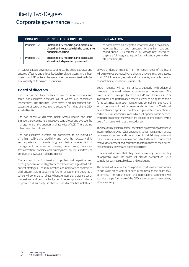### Corporate governance (continued)

| <b>PRINCIPLE</b> | <b>PRINCIPLE DESCRIPTION</b>                                                                               | <b>EXPLANATION</b>                                                                                                                                                              |
|------------------|------------------------------------------------------------------------------------------------------------|---------------------------------------------------------------------------------------------------------------------------------------------------------------------------------|
| Principle 9.2    | Sustainability reporting and disclosure<br>should be integrated with the company's<br>financial reporting. | As noted above, an integrated report including sustainability<br>reporting has not been prepared for the first reporting<br>period ended 31 December 2016. Management intend to |
| Principle 9.3    | Sustainability reporting and disclosure<br>should be independently assured.                                | prepare a full integrated report for the financial year ending<br>31 December 2017.                                                                                             |

In reviewing L2D's governance structures, the board exercises and ensures effective and ethical leadership, always acting in the best interests of L2D while at the same time concerning itself with the sustainability of its business operations.

### **Board of directors**

The board of directors consists of two executive directors and three non-executive directors, all of whom are considered independent. The chairman, Peter Moyo, is an independent nonexecutive director, whose role is separate from that of the CEO, Amelia Beattie.

The two executive directors, being Amelia Beattie and John Sturgeon, exercise general executive control over and oversee the management of the business and activities of L2D. There are no other prescribed officers.

The non-executive directors are considered to be individuals of a high calibre and credibility and have the necessary skills and experience to provide judgment that is independent of management on issues of strategy, performance, resources, transformation, diversity and employment equity, standards of conduct and evaluation of performance.

The current board's diversity of professional expertise and demographics makes it a highly effective board with regards to L2D's current strategies. The remuneration and nominations committee shall ensure that, in appointing further directors, the board as a whole will continue to reflect, whenever possible, a diverse set of professional and personal backgrounds, ensuring a clear balance of power and authority, so that no one director has unfettered

powers of decision making. The information needs of the board will be reviewed periodically and directors have unrestricted access to all L2D information, records and documents, to enable them to conduct their responsibilities sufficiently.

Board meetings will be held at least quarterly, with additional meetings convened when circumstances necessitate. The board sets the strategic objectives of L2D and determines L2D's investment and performance criteria as well as being responsible for its sustainability, proper management, control, compliance and ethical behaviour of the businesses under its direction. The board has established specific committees to give detailed attention to certain of its responsibilities and which will operate within defined, written terms of reference which are capable of amendment by the board from time to time as the need arises.

The board will establish a formal orientation programme to familiarise incoming directors with L2D's operations, senior management and its business environment, and to induct them in their fiduciary duties and responsibilities. New directors with no or limited board experience will receive development and education to inform them of their duties, responsibilities, powers and potential liabilities.

Directors will ensure that they have a working understanding of applicable laws. The board will provide oversight on L2D's compliance with applicable laws and regulations.

The board will review the chairperson's performance and ability to add value on an annual or such other basis as the board may determine. The remuneration and nominations committee will appraise the performance of the CEO and other senior executives, at least annually.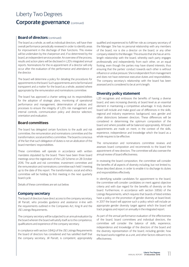# Liberty Two Degrees Corporate governance (continued)

### **Board of directors** (continued)

The board as a whole, as well as individual directors, will have their overall performance periodically reviewed in order to identify areas for improvement in the discharge of their functions. This review will be undertaken by the chairperson and, if so determined by the board, an independent service provider. An overview of the process, results and action plans will be disclosed in L2D's integrated annual reports. Nominations for the re-appointment of a director will only occur after the evaluation of the performance and attendance of the director.

The board will determine a policy for detailing the procedures for appointments to the board. Such appointments are to be formal and transparent and a matter for the board as a whole, assisted where appropriate by the remuneration and nominations committee.

The board has approved a charter setting out its responsibilities for the adoption of strategic plans, monitoring of operational performance and management, determination of policies and processes to ensure the integrity of L2D's risk management and internal controls, communication policy and director selection, orientation and evaluation.

### **Board committees**

The board has delegated certain functions to the audit and risk committee, the remuneration and nominations committee and the transformation, social and ethics committee. The board is conscious of the fact that such delegation of duties is not an abdication of the board members' responsibilities.

These committees will operate in accordance with written mandates stipulated by the board. There have been three board meetings since the registration of the L2D Scheme on 28 October 2016. The audit and risk committee, investment committee and the remuneration and nominations committee each held 1 meeting up to the date of this report. The transformation, social and ethics committee will be holding its first meeting in the next quarterly board cycle.

Details of these committees are set out below.

### **Company secretary**

The board of directors have direct access to the company secretary, Jill Parratt, who provides guidance and assistance in-line with the requirements outlined in the Companies Act, King III and the JSE Listings Requirements.

The company secretary will be subjected to an annual evaluation by the board wherein the board will satisfy itself as to the competence, qualifications and experience of the company secretary.

In compliance with section 3.84(j) of the JSE Listings Requirements the board of directors has considered and has satisfied itself that the company secretary, Jill Parratt, is competent, appropriately qualified and experienced to fulfil her role as company secretary of the Manager. She has no personal relationship with any members of the board, nor is she a director on the board, or any other company related to the Manager. This ensures that she has an armslength relationship with the board, whereby each party engages professionally and independently from each other, on an equal footing, even though the parties may have shared interests, thus ensuring that the parties' conduct towards each other is without influence or undue pressure. She is independent from management and does not have extensive executive duties and responsibilities. The company secretary's relationship with the board has been assessed and is considered to be at arm's length.

### **Diversity policy statement**

L2D recognises and embraces the benefits of having a diverse board, and sees increasing diversity at board level as an essential element in maintaining a competitive advantage. A truly diverse board will include and make good use of differences in the skills, regional and industry experience, background, race, gender and other distinctions between directors. These differences will be considered in determining the optimum composition of the board and where possible will be balanced appropriately. All board appointments are made on merit, in the context of the skills, experience, independence and knowledge which the board as a whole requires to be effective.

The remuneration and nominations committee reviews and assesses board composition and recommends to the board the appointment of new directors. The committee will also oversee the annual review of board effectiveness.

In reviewing the board composition, the committee will consider the benefits of all aspects of diversity including, but not limited to, those described above, in order to enable it to discharge its duties and responsibilities effectively.

In identifying suitable candidates for appointment to the board, the committee will consider candidates on merit against objective criteria and with due regard for the benefits of diversity on the board. Furthermore, in accordance with section 3.85(k) of the Listings Requirements, which requires that boards of listed entities have a policy on the promotion of gender diversity at board level, in 2017 the board will approve such a policy which will include an appropriate gender diversity target against which the board will track progress and report on annually in the integrated report.

As part of the annual performance evaluation of the effectiveness of the board, board committees and individual directors, the committee will consider the balance of skills, experience, independence and knowledge of the directors of the board and the diversity representation of the board, including gender, how the board works together as a unit, and other factors relevant to its effectiveness.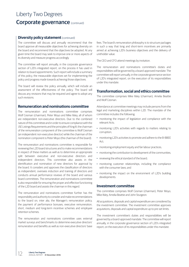# Liberty Two Degrees Corporate governance (continued)

#### **Diversity policy statement** (continued)

The committee will discuss and annually recommend that the board approve all measurable objectives for achieving diversity on the board and recommend that the objectives be adopted. At any given time the board may seek to improve one or more aspects of its diversity and measure progress accordingly.

The committee will report annually, in the corporate governance section of L2D's integrated report, on the process it has used in relation to board appointments. Such report will include a summary of this policy, the measurable objectives set for implementing the policy and progress made towards achieving those objectives.

The board will review the policy annually, which will include an assessment of the effectiveness of the policy. The board will discuss any revisions that may be required and agree to adopt any such revisions.

#### **Remuneration and nominations committee**

The remuneration and nominations committee comprises Wolf Cesman (chairman), Peter Moyo and Mike Ilsley, all of whom are independent non-executive directors. Due to the combined nature of this committee and in order to ensure compliance with the JSE Listings Requirements and the principles of King III, the chairman of the remuneration component of the committee is Wolf Cesman (an independent non-executive director) while the chairman of the nomination component is Peter Moyo (the chairman of the board).

The remuneration and nominations committee is responsible for reviewing the L2D board structures and to make recommendations in respect of these matters as well as to determine an appropriate split between executive and non-executive directors and independent directors. This committee also assists in the identification and nomination of new directors for approval by the board. It considers and approves the classification of directors as independent, oversees induction and training of directors and conducts annual performance reviews of the board and various board committees. The remuneration and nominations committee is also responsible for ensuring the proper and effective functioning of the L2D board and assists the chairman in this regard.

The remuneration and nominations committee further has the responsibility and authority to consider and make recommendations to the board on, inter alia, the Manager's remuneration policy, the payment of performance bonuses, executive remuneration, short, medium and long-term incentive schemes and employee retention schemes.

The remuneration and nominations committee uses external market surveys and benchmarks to determine executive directors' remuneration and benefits as well as non-executive directors' base

fees. The board's remuneration philosophy is to structure packages in such a way that long and short-term incentives are primarily aimed at achieving L2D's business objectives and the delivery of unitholder value.

The CEO and CFO attend meetings by invitation.

The remuneration and nominations committee's duties and responsibilities will be governed by a board-approved mandate. The committee will report annually, in the corporate governance section of L2D's integrated report, on the execution of its responsibilities under this mandate.

### **Transformation, social and ethics committee**

The committee comprises Mike Ilsley (chairman), Amelia Beattie and Wolf Cesman.

Attendance at committee meetings may include persons from the legal and marketing disciplines within L2D. The mandate of the committee includes the following:

- monitoring the impact of legislation and compliance with the relevant Acts;
- monitoring L2D's activities with regards to matters relating to corruption;
- monitoring L2D's activities to promote and adhere to the B-BBEE  $\Delta$ ct:
- monitoring employment equity and fair labour practices;
- monitoring the contribution to development of the communities;
- reviewing the ethical standard of the board;
- monitoring customer relationships, including the compliance with the consumer laws; and
- monitoring the impact on the environment of L2D's building developments.

#### **Investment committee**

The committee comprises Wolf Cesman (chairman), Peter Moyo, Mike Ilsley, Amelia Beattie and John Sturgeon.

All acquisitions, disposals and capital expenditure are considered by the investment committee. The investment committee approves acquisitions, disposals and capital expenditure up to pre-set limits.

The investment committee's duties and responsibilities will be governed by a board-approved mandate. The committee will report annually, in the corporate governance section of L2D's integrated report, on the execution of its responsibilities under this mandate.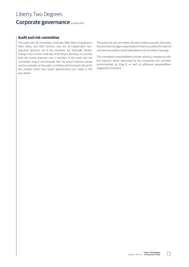# Liberty Two Degrees Corporate governance (continued)

### **Audit and risk committee**

The audit and risk committee comprises Mike Ilsley (chairperson), Peter Moyo, and Wolf Cesman, who are all independent nonexecutive directors. All of the members are financially literate. Owing to the current small size of the board, Mr Moyo is currently both the board chairman and a member of the audit and risk committee. King III recommends that the board chairman should not be a member of the audit committee and the board will rectify this position when new board appointments are made in the year ahead.

The audit and risk committee will meet at least quarterly. Executive directors and managers responsible for finance as well as the internal and external auditors will be attendees at all committee meetings.

The committee's responsibilities include voluntary compliance with the statutory duties prescribed by the Companies Act, activities recommended by King lll, as well as additional responsibilities assigned by the board.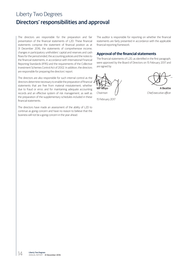# Liberty Two Degrees Directors' responsibilities and approval

The directors are responsible for the preparation and fair presentation of the financial statements of L2D. These financial statements comprise the statement of financial position as at 31 December 2016, the statements of comprehensive income, changes in participatory unitholders' capital and reserves and cash flows for the period ended, the accounting policies and the notes to the financial statements, in accordance with International Financial Reporting Standards (IFRS) and the requirements of the Collective Investment Schemes Control Act of 2002. In addition, the directors are responsible for preparing the directors' report.

The directors are also responsible for such internal control as the directors determine necessary to enable the preparation of financial statements that are free from material misstatement, whether due to fraud or error, and for maintaining adequate accounting records and an effective system of risk management, as well as the preparation of the supplementary schedules included in these financial statements.

The directors have made an assessment of the ability of L2D to continue as going concern and have no reason to believe that the business will not be a going concern in the year ahead.

The auditor is responsible for reporting on whether the financial statements are fairly presented in accordance with the applicable financial reporting framework.

### **Approval of the financial statements**

The financial statements of L2D, as identified in the first paragraph, were approved by the Board of Directors on 15 February 2017 and are signed by



15 February 2017

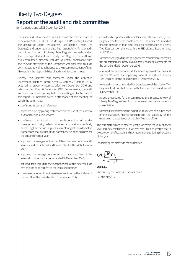# Report of the audit and risk committee

for the period ended 31 December 2016

The audit and risk committee is a sub-committee of the board of directors of STANLIB REIT Fund Managers (RF) Proprietary Limited, the Manager of Liberty Two Degrees Trust Scheme (Liberty Two Degrees), and under its mandate has responsibility for the audit committee function of Liberty Two Degrees. Notwithstanding the unincorporated status of Liberty Two Degrees, the audit and risk committee's mandate includes voluntary compliance with the relevant provisions of the Companies Act applicable to audit committees, as well as adherence to the recommendations of King III regarding the responsibilities of audit and risk committees.

Liberty Two Degrees was registered under the Collective Investment Schemes Control Act (CISC Act) on 28 October 2016, acquired its property interests effective 1 December 2016 and listed on the JSE on 6 December 2016. Consequently, the audit and risk committee has only held one meeting up to the date of this report. All members were in attendance at this meeting, at which the committee:

- confirmed its terms of reference;
- approved a policy placing restrictions on the use of the external auditors for non-audit services;
- confirmed the adoption and implementation of a risk management policy, which includes a provision specifically prohibiting Liberty Two Degrees from entering into any derivative transactions that are not in the normal course of its business for the ensuing financial year;
- approved the engagement terms of the outsourced internal audit services and the internal audit work plan for the 2017 financial year;
- approved the engagement terms and proposed fees of the external auditors for the period ended 31 December 2016;
- satisfied itself regarding the independence of the external audit firm and the appointment of the lead audit partner;
- considered a report from the external auditors on the findings of their audit for the period ended 31 December 2016;
- considered a report from the chief financial officer on Liberty Two Degrees' results for the month ended 31 December 2016 and its financial position at that date, including confirmation of Liberty Two Degrees' compliance with the JSE Listings Requirements and CISC Act;
- satisfied itself regarding the going concern assumption underlying the preparation of Liberty Two Degrees' financial statements for the period ended 31 December 2016;
- reviewed and recommended for board approval the financial statements and accompanying annual report of Liberty Two Degrees for the period ended 31 December 2016;
- reviewed and recommended for board approval the Liberty Two Degrees' final distribution to unitholders for the period ended 31 December 2016;
- agreed procedures for the committee's pre-issuance review of Liberty Two Degrees' results announcement and related investor presentation;
- satisfied itself regarding the expertise, resources and experience of the Manager's finance function and the suitability of the expertise and experience of the chief financial officer.

The committee plans to meet at least quarterly in the 2017 financial year and has established a quarterly work plan to ensure that it executes on all of its audit and risk responsibilities during the course of the year.

*On behalf of the audit and risk committee*

MG Ilsley

*Chairman of the audit and risk committee* 15 February 2017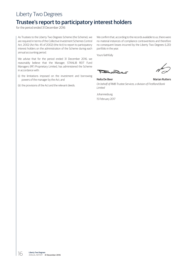# Trustee's report to participatory interest holders

for the period ended 31 December 2016

As Trustees to the Liberty Two Degrees Scheme (the Scheme), we are required in terms of the Collective Investment Schemes Control Act, 2002 (Act No. 45 of 2002) (the Act) to report to participatory interest holders on the administration of the Scheme during each annual accounting period.

We advise that for the period ended 31 December 2016, we reasonably believe that the Manager, STANLIB REIT Fund Managers (RF) Proprietary Limited, has administered the Scheme in accordance with:

- (i) the limitations imposed on the investment and borrowing powers of the manager by the Act; and
- (ii) the provisions of the Act and the relevant deeds.

We confirm that, according to the records available to us, there were no material instances of compliance contraventions and therefore no consequent losses incurred by the Liberty Two Degrees (L2D) portfolio in the year.

Yours faithfully

A صحكومت

Nelia De Beer **Marian Rutters** *On behalf of RMB Trustee Services, a division of FirstRand Bank Limited*

Johannesburg 15 February 2017

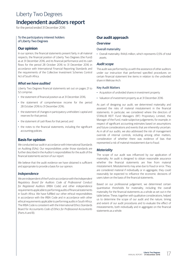# Independent auditors report

for the period ended 31 December 2016

#### To the participatory interest holders of Liberty Two Degrees

### **Our opinion**

In our opinion, the financial statements present fairly, in all material respects, the financial position of Liberty Two Degrees (the Fund) as at 31 December 2016, and its financial performance and its cash flows for the period 28 October 2016 to 31 December 2016 in accordance with International Financial Reporting Standards and the requirements of the Collective Investment Schemes Control Act of South Africa.

#### *What we have audited*

Liberty Two Degrees financial statements set out on pages 21 to 52 comprise:

- the statement of financial position as at 31 December 2016;
- the statement of comprehensive income for the period 28 October 2016 to 31 December 2016;
- the statement of changes in participatory unitholders' capital and reserves for that period;
- the statement of cash flows for that period; and
- the notes to the financial statements, including the significant accounting policies.

### **Basis for opinion**

We conducted our audit in accordance with International Standards on Auditing (ISAs). Our responsibilities under those standards are further described in the Auditor's responsibilities for the audit of the financial statements section of our report.

We believe that the audit evidence we have obtained is sufficient and appropriate to provide a basis for our opinion.

#### *Independence*

We are independent of the Fund in accordance with the *Independent Regulatory Board for Auditors Code of Professional Conduct for Registered Auditors* (IRBA Code) and other independence requirements applicable to performing audits of financial statements in South Africa. We have fulfilled our other ethical responsibilities in accordance with the IRBA Code and in accordance with other ethical requirements applicable to performing audits in South Africa. The IRBA Code is consistent with the International Ethics Standards Board for Accountants *Code of Ethics for Professional Accountants*  (Parts A and B).

### **Our audit approach**

#### *Overview*

#### Overall materiality

• Overall materiality: R44,6 million, which represents 0,5% of total assets.

#### *Audit scope*

The audit was performed by us with the assistance of other auditors under our instruction that performed specified procedures on certain financial statement line items in relation to the undivided share in Melrose Arch.

#### Key Audit Matters

- Acquisition of undivided shares in investment property
- Valuation of investment property as at 31 December 2016

As part of designing our audit, we determined materiality and assessed the risks of material misstatement in the financial statements. In particular, we considered where the directors of STANLIB REIT Fund Managers (RF) Proprietary Limited, the Manager of the Fund, made subjective judgements; for example, in respect of significant accounting estimates based on assumptions and future considerations and events that are inherently uncertain. As in all of our audits, we also addressed the risk of management override of internal controls, including among other matters, consideration of whether there was evidence of bias that represented a risk of material misstatement due to fraud.

#### *Materiality*

The scope of our audit was influenced by our application of materiality. An audit is designed to obtain reasonable assurance whether the financial statements are free from material misstatement. Misstatements may arise due to fraud or error. They are considered material if individually or in aggregate, they could reasonably be expected to influence the economic decisions of users taken on the basis of the financial statements.

Based on our professional judgement, we determined certain quantitative thresholds for materiality, including the overall materiality for the financial statements as a whole as set out in the table below. These, together with qualitative considerations, helped us to determine the scope of our audit and the nature, timing and extent of our audit procedures and to evaluate the effect of misstatements, both individually and in aggregate on the financial statements as a whole.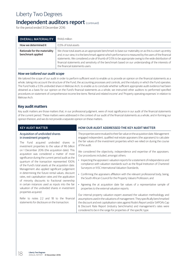# Independent auditors report (continued)

for the period ended 31 December 2016

| <b>OVERALL MATERIALITY</b>                         | R44.6 million                                                                                                                                                                                                                                                                                                                                                                                                                                                              |
|----------------------------------------------------|----------------------------------------------------------------------------------------------------------------------------------------------------------------------------------------------------------------------------------------------------------------------------------------------------------------------------------------------------------------------------------------------------------------------------------------------------------------------------|
| How we determined it                               | 0.5% of total assets                                                                                                                                                                                                                                                                                                                                                                                                                                                       |
| Rationale for the materiality<br>benchmark applied | We chose total assets as an appropriate benchmark to base our materiality on as this is a start-up entity<br>and, in our view, it is the benchmark against which performance is measured by the users of the financial<br>statements. We considered a rule of thumb of 0.5% to be appropriate owing to the wide distribution of<br>financial statements and sensitivity of the benchmark based on our understanding of the interests of<br>the financial statements users. |

#### *How we tailored our audit scope*

We tailored the scope of our audit in order to perform sufficient work to enable us to provide an opinion on the financial statements as a whole, taking into account the structure of the Fund, the accounting processes and controls, and the industry in which the Fund operates. The Fund holds a 5.5% undivided share in Melrose Arch, to enable us to conclude whether sufficient appropriate audit evidence had been obtained as a basis for our opinion on the Fund's financial statements as a whole, we instructed other auditors to performed specified procedures on statement of comprehensive income line items 'Rental and related income' and 'Property operating expenses' in relation to Melrose Arch.

### **Key audit matters**

Key audit matters are those matters that, in our professional judgment, were of most significance in our audit of the financial statements of the current period. These matters were addressed in the context of our audit of the financial statements as a whole, and in forming our opinion thereon, and we do not provide a separate opinion on these matters.

| <b>KEY AUDIT MATTER</b>                                                                                                                                    | HOW OUR AUDIT ADDRESSED THE KEY AUDIT MATTER                                                                                                                                                                                                                                                                                        |
|------------------------------------------------------------------------------------------------------------------------------------------------------------|-------------------------------------------------------------------------------------------------------------------------------------------------------------------------------------------------------------------------------------------------------------------------------------------------------------------------------------|
| Acquisition of undivided shares<br>in investment property<br>The Fund acquired undivided shares in<br>investment properties to the value of R6 billion     | The properties were revalued to their fair value on the acquisition date. Management<br>engaged independent, qualified real estate appraisers (the appraisers) to calculate<br>the fair values of the investment properties which we relied on during the course<br>of the audit.                                                   |
| on 1 December 2016 (the acquisition date). This<br>acquisition was considered a matter of most<br>significance during the current period audit as the      | We considered the objectivity, independence and expertise of the appraisers.<br>Our procedures included, amongst others:                                                                                                                                                                                                            |
| quantum of the transaction represented 100%<br>of the Fund's total assets at the acquisition date.<br>Management also applied significant judgement        | Inspecting the appraisers' valuation reports for a statement of independence and<br>compliance with valuation standards such as the Royal Institution of Chartered<br>Surveyors or IVSC International Valuation Standards;                                                                                                          |
| in determining the future rental values, discount<br>rates, exit capitalisation rates and the application<br>of minority discounts to fractional ownership | Confirming the appraisers affiliation with the relevant professional body, being,<br>the South African Council for the Property Valuers Profession; and                                                                                                                                                                             |
| in certain instances used as inputs into the fair<br>valuation of the undivided shares in investment<br>properties acquired.                               | Agreeing the at acquisition date fair values of a representative sample of<br>properties to the external valuation reports.                                                                                                                                                                                                         |
| Refer to notes 2.2 and 18 to the financial<br>statements for disclosure on the transaction.                                                                | Our internal property valuation expert assessed the valuation methodology and<br>assumptions used in the valuations of management. They specifically benchmarked<br>the discount and exit capitalisation rates against Rode's Report and/or SAPOA's Cap<br>& Discount Rate Report (industry benchmarks) and management's rates were |

considered to be in the range for properties of the specific type.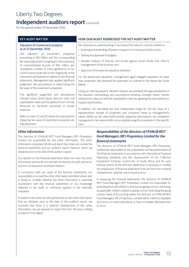### Independent auditors report (continued)

for the period ended 31 December 2016

| <b>KEY AUDIT MATTER</b>                                                                                                                                                                                                                              | HOW OUR AUDIT ADDRESSED THE KEY AUDIT MATTER                                                                                                                                                                                                                                     |
|------------------------------------------------------------------------------------------------------------------------------------------------------------------------------------------------------------------------------------------------------|----------------------------------------------------------------------------------------------------------------------------------------------------------------------------------------------------------------------------------------------------------------------------------|
| Valuation of investment property<br>as at 31 December 2016                                                                                                                                                                                           | We obtained an understanding of and tested the relevant controls related to:<br>Entering and amending of leases in support of contractual rental income;<br>٠                                                                                                                    |
| valuation of investment<br>properties<br>The<br>amounting to R6,1 billion and the corresponding                                                                                                                                                      | • Setting and approval of budgets;                                                                                                                                                                                                                                               |
| fair value adjustment recognised in the statement<br>of comprehensive income of R55 million was                                                                                                                                                      | Detailed analysis of forecast and trends against actual results that informs<br>management of the business; and                                                                                                                                                                  |
| considered a matter of most significance to our<br>current period audit due to the magnitude of the                                                                                                                                                  | • Approval of the external valuations obtained.                                                                                                                                                                                                                                  |
| movement and balance in relation to the financial<br>statements. Management also applied significant<br>judgement and assumptions in determining the                                                                                                 | For the period-end valuations, management again engaged appraisers to value<br>their properties. We assessed the appraisers as outlined in the above Key Audit<br>Matter.                                                                                                        |
| fair value of the investment properties.<br>The significant judgement and assumptions<br>includes future rental values, discount rates, exit<br>capitalisation rates and the application of minority<br>discounts to fractional ownership in certain | Using our internal property valuation experts, we assessed the appropriateness of<br>the valuation methodology and assumptions including, amongst others, market<br>related rents, discount and exit capitalisation rates by agreeing the assumptions to<br>industry benchmarks. |
| instances.                                                                                                                                                                                                                                           | In addition, we calculated our own independent range for the fair value of a<br>representative sample of properties and compared these to management's                                                                                                                           |
| Refer to notes 5.5 and 10 where the assumptions<br>impacting fair value of investment properties are<br>fully described.                                                                                                                             | values. Whilst our fair value itself includes subjective assumptions, we considered<br>management's fair value to fall in an acceptable range for properties of the specific<br>type.                                                                                            |
| <b>Other information</b>                                                                                                                                                                                                                             | <b>Responsibilities of the directors of STANLIB REIT</b>                                                                                                                                                                                                                         |

#### *Other information*

The directors of STANLIB REIT Fund Managers (RF) Proprietary Limited are responsible for the other information. The other information comprises the Annual report (but does not include the financial statements and our auditor's report thereon), which we obtained prior to the date of this auditor's report.

Our opinion on the financial statements does not cover the other information and we do not and will not express an audit opinion or any form of assurance conclusion thereon.

In connection with our audit of the financial statements, our responsibility is to read the other information identified above and, in doing so, consider whether the other information is materially inconsistent with the financial statements or our knowledge obtained in the audit, or otherwise appears to be materially misstated.

If, based on the work we have performed on the other information that we obtained prior to the date of this auditor's report, we conclude that there is a material misstatement of this other information, we are required to report that fact. We have nothing to report in this regard.

### *Responsibilities of the directors of STANLIB REIT Fund Managers (RF) Proprietary Limited for the financial statements*

The directors of STANLIB REIT Fund Managers (RF) Proprietary Limited are responsible for the preparation and fair presentation of the financial statements in accordance with International Financial Reporting Standards and the requirements of the Collective Investment Schemes Control Act of South Africa, and for such internal control as the directors determine is necessary to enable the preparation of financial statements that are free from material misstatement, whether due to fraud or error.

In preparing the financial statements, the directors of STANLIB REIT Fund Managers (RF) Proprietary Limited are responsible for assessing the Fund's ability to continue as a going concern, disclosing, as applicable, matters related to going concern and using the going concern basis of accounting unless the directors of STANLIB REIT Fund Managers (RF) Proprietary Limited either intend to liquidate the Fund or to cease operations, or have no realistic alternative but to do so.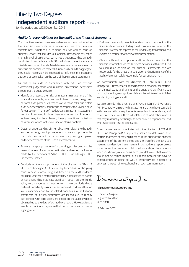### Independent auditors report (continued)

for the period ended 31 December 2016

### *Auditor's responsibilities for the audit of the financial statements*

Our objectives are to obtain reasonable assurance about whether the financial statements as a whole are free from material misstatement, whether due to fraud or error, and to issue an auditor's report that includes our opinion. Reasonable assurance is a high level of assurance, but is not a guarantee that an audit conducted in accordance with ISAs will always detect a material misstatement when it exists. Misstatements can arise from fraud or error and are considered material if, individually or in the aggregate, they could reasonably be expected to influence the economic decisions of users taken on the basis of these financial statements.

As part of an audit in accordance with ISAs, we exercise professional judgement and maintain professional scepticism throughout the audit. We also:

- Identify and assess the risks of material misstatement of the financial statements, whether due to fraud or error, design and perform audit procedures responsive to those risks, and obtain audit evidence that is sufficient and appropriate to provide a basis for our opinion. The risk of not detecting a material misstatement resulting from fraud is higher than for one resulting from error, as fraud may involve collusion, forgery, intentional omissions, misrepresentations, or the override of internal controls.
- Obtain an understanding of internal controls relevant to the audit in order to design audit procedures that are appropriate in the circumstances, but not for the purpose of expressing an opinion on the effectiveness of the Fund's internal control.
- Evaluate the appropriateness of accounting policies used and the reasonableness of accounting estimates and related disclosures made by the directors of STANLIB REIT Fund Managers (RF) Proprietary Limited.
- Conclude on the appropriateness of the directors' of STANLIB REIT Fund Managers (RF) Proprietary Limited use of the going concern basis of accounting and, based on the audit evidence obtained, whether a material uncertainty exists related to events or conditions that may cast significant doubt on the Fund's ability to continue as a going concern. If we conclude that a material uncertainty exists, we are required to draw attention in our auditor's report to the related disclosures in the financial statements or, if such disclosures are inadequate, to modify our opinion. Our conclusions are based on the audit evidence obtained up to the date of our auditor's report. However, future events or conditions may cause the Fund to cease to continue as a going concern.
- Evaluate the overall presentation, structure and content of the financial statements, including the disclosures, and whether the financial statements represent the underlying transactions and events in a manner that achieves fair presentation.
- Obtain sufficient appropriate audit evidence regarding the financial information of the business activities within the Fund to express an opinion on the financial statements. We are responsible for the direction, supervision and performance of the audit. We remain solely responsible for our audit opinion.

We communicate with the directors of STANLIB REIT Fund Managers (RF) Proprietary Limited regarding, among other matters, the planned scope and timing of the audit and significant audit findings, including any significant deficiencies in internal control that we identify during our audit.

We also provide the directors of STANLIB REIT Fund Managers (RF) Proprietary Limited with a statement that we have complied with relevant ethical requirements regarding independence, and to communicate with them all relationships and other matters that may reasonably be thought to bear on our independence, and where applicable, related safeguards.

From the matters communicated with the directors of STANLIB REIT Fund Managers (RF) Proprietary Limited, we determine those matters that were of most significance in the audit of the financial statements of the current period and are therefore the key audit matters. We describe these matters in our auditor's report unless law or regulation precludes public disclosure about the matter or when, in extremely rare circumstances, we determine that a matter should not be communicated in our report because the adverse consequences of doing so would reasonably be expected to outweigh the public interest benefits of such communication.

Bicanskehouse Coopers Inc.

#### PricewaterhouseCoopers Inc.

Director: V Muguto Registered Auditor Sunninghill

15 February 2017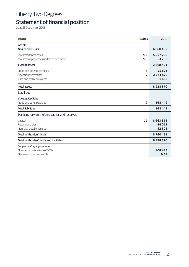# Statement of financial position

as at 31 December 2016

| <b>R'OOO</b><br><b>Notes</b>                                                                            | 2016                        |
|---------------------------------------------------------------------------------------------------------|-----------------------------|
| Assets<br><b>Non-current assets</b>                                                                     | 6060439                     |
| 5.2<br>Investment properties<br>5.3<br>Investment properties under development                          | 5997200<br>63 2 3 9         |
| <b>Current assets</b>                                                                                   | 2868431                     |
| Trade and other receivables<br>6<br><b>Financial investments</b><br>7<br>Cash and cash equivalents<br>8 | 91871<br>2774878<br>1682    |
| <b>Total assets</b>                                                                                     | 8928870                     |
| Liabilities                                                                                             |                             |
| <b>Current liabilities</b><br>9<br>Trade and other payables                                             | 168 449                     |
| <b>Total liabilities</b>                                                                                | 168 449                     |
| Participatory unitholders capital and reserves                                                          |                             |
| 11<br>Capital<br>Retained surplus<br>Non-distributable reserve                                          | 8663855<br>44 063<br>52 503 |
| <b>Total unitholders' funds</b>                                                                         | 8760421                     |
| Total unitholders' funds and liabilities                                                                | 8928870                     |
| Supplementary information:<br>Number of units in issue ('000)<br>Net asset value per unit (R)           | 908 443<br>9,64             |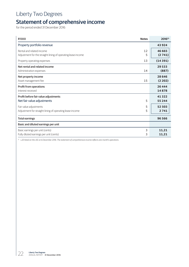# Statement of comprehensive income

for the period ended 31 December 2016

| <b>R'OOO</b>                                                 | <b>Notes</b> | $2016^{(1)}$ |
|--------------------------------------------------------------|--------------|--------------|
| Property portfolio revenue                                   |              | 43924        |
| Rental and related income                                    | 12           | 46 665       |
| Adjustment for the straight-lining of operating lease income | 5            | (2741)       |
| Property operating expenses                                  | 13           | (14391)      |
| Net rental and related income                                |              | 29533        |
| Administration expenses                                      | 14           | (887)        |
| Net property income                                          |              | 28646        |
| Asset management fee                                         | 15           | (2 202)      |
| Profit from operations                                       |              | 26 4 4 4     |
| Interest received                                            |              | 14878        |
| Profit before fair value adjustments                         |              | 41 3 2 2     |
| Net fair value adjustments                                   | 5            | 55 244       |
| Fair value adjustments                                       | 5            | 52 503       |
| Adjustment for straight-lining of operating lease income     | 5            | 2741         |
| <b>Total earnings</b>                                        |              | 96 566       |
| Basic and diluted earnings per unit                          |              |              |
| Basic earnings per unit (cents)                              | 3            | 11,21        |
| Fully diluted earnings per unit (cents)                      | 3            | 11,21        |

*(1) L2D listed on the JSE on 6 December 2016. The statement of comprehensive income reflects one month's operations.*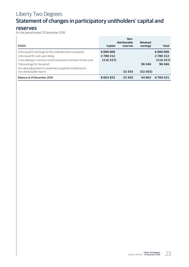# Liberty Two Degrees Statement of changes in participatory unitholders' capital and

### reserves

for the period ended 31 December 2016

| <b>R'OOO</b>                                                                                         | Capital            | Non-<br>distributable<br>reserves | <b>Retained</b><br>earnings | <b>Total</b>       |
|------------------------------------------------------------------------------------------------------|--------------------|-----------------------------------|-----------------------------|--------------------|
| Units issued in exchange for the undivided share in property<br>Units issued for cash upon listing   | 6000000<br>2780212 |                                   |                             | 6000000<br>2780212 |
| Costs relating to common control transaction and issue of new units<br>Total earnings for the period | (116357)           |                                   | 96 566                      | (116357)<br>96 566 |
| Fair value adjustment on investment properties transferred to<br>non-distributable reserve           |                    | 52 503                            | (52503)                     |                    |
| Balance at 31 December 2016                                                                          | 8663855            | 52 503                            | 44 063                      | 8760421            |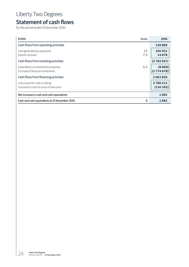# Statement of cash flows

for the period ended 31 December 2016

| <b>R'OOO</b>                                                                 | <b>Notes</b> | 2016                |
|------------------------------------------------------------------------------|--------------|---------------------|
| Cash flows from operating activities                                         |              | 120809              |
| Cash generated by operations<br>Interest received                            | 17<br>7.2    | 105931<br>14878     |
| Cash flows from investing activities                                         |              | (2782947)           |
| Expenditure on investment properties<br>Purchase of financial investments    | 5.2          | (8069)<br>(2774878) |
| Cash flows from financing activities                                         |              | 2663820             |
| Units issued for cash on listing<br>Transaction costs for issue of new units |              | 2780212<br>(116392) |
| Net increase in cash and cash equivalents                                    |              | 1682                |
| Cash and cash equivalents at 31 December 2016                                | 8            | 1682                |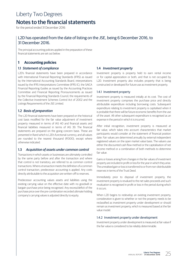# Notes to the financial statements

for the period ended 31 December 2016

### L2D has operated from the date of listing on the JSE, being 6 December 2016, to 31 December 2016.

The principal accounting policies applied in the preparation of these financial statements are set out below.

### **1 Accounting policies**

### 1.1 *Statement of compliance*

L2D's financial statements have been prepared in accordance with International Financial Reporting Standards (IFRS) as issued by the International Accounting Standards Board, interpretations issued by the IFRS Interpretations Committee (IFRS IC), the SAICA Financial Reporting Guides as issued by the Accounting Practices Committee and Financial Reporting Pronouncements as issued by the Financial Reporting Standards Council, the requirements of the Collective Investment Schemes Control Act of 2002 and the Listings Requirements of the JSE Limited.

### 1.2 *Basis of preparation*

The L2D financial statements have been prepared on the historical cost basis modified for the fair value adjustment of investment property measured in terms of IAS 40 and financial assets and financial liabilities measured in terms of IAS 39. The financial statements are prepared on the going concern basis. These are presented in Rand which is L2D's functional currency, and all values are rounded to the nearest thousand (R'000), except where otherwise indicated.

### 1.3 *Acquisition of assets under common control*

Transactions in which assets or businesses are ultimately controlled by the same party before and after the transaction and where that control is not transitory, are referred to as common control transactions. Where a transaction meets the definition of a common control transaction, predecessor accounting is applied. Any costs directly attributable to the acquisition are written-off to reserves.

Predecessor accounting values assets and liabilities using the existing carrying value on the effective date with no goodwill or bargain purchase price being recognised. Any excess/deficit of the purchase price over the pre-combination recorded ultimate holding company's carrying values is adjusted directly to equity.

### 1.4 *Investment property*

Investment property is property held to earn rental income or for capital appreciation or both, and that is not occupied by L2D. Investment property also includes property that is being constructed or developed for future use as investment property.

#### 1.4.1 Investment property

Investment property is measured initially at its cost. The cost of investment property comprises the purchase price and directly attributable expenditure including borrowing costs. Subsequent expenditure relating to investment property is capitalised when it is probable that there will be future economic benefits from the use of the asset. All other subsequent expenditure is recognised as an expense in the period in which it is incurred.

After initial recognition, investment property is measured at fair value, which takes into account characteristics that market participants would consider at the statement of financial position date. Fair values are determined annually by external independent registered valuers on the open market value basis. The valuers use either the discounted cash flow method or the capitalisation of net income method or a combination of both methods to determine fair value.

Gains or losses arising from changes in the fair values of investment property are included in profit or loss for the year in which they arise. The unrealised gain or loss is transferred to or from non-distributable reserves in terms of the Trust Deed.

Immediately prior to disposal of investment property, the investment property is revalued to the net sales proceeds and such revaluation is recognised in profit or loss in the period during which it occurs.

When L2D begins to redevelop an existing investment property, consideration is given to whether or not the property needs to be reclassified as investment property under development or should remain as investment property, which is measured based at the fair value model.

#### 1.4.2 Investment property under development

Investment property under development is measured at fair value if the fair value is considered to be reliably determinable.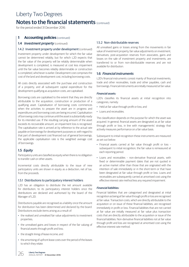### Notes to the financial statements (continued)

for the period ended 31 December 2016

### **1 Accounting policies** (continued)

#### 1.4 **Investment property** (continued)

#### 1.4.2 Investment property under development (continued)

Investment property under development for which the fair value cannot be determined reliably, but for which L2D expects that the fair value of the property will be reliably determinable when development is completed, is measured at cost less impairment until the fair value becomes reliably determinable or construction is completed, whichever is earlier. Development cost comprises the cost of the land and development cost, including borrowing costs.

All costs directly associated with the purchase and construction of a property, and all subsequent capital expenditure for the development qualifying as acquisition costs, are capitalised.

Borrowing costs are capitalised to the extent that they are directly attributable to the acquisition, construction or production of a qualifying asset. Capitalisation of borrowing costs commences when the activities to prepare the asset are in progress and expenditures and borrowing costs are being incurred. Capitalisation of borrowing costs may continue until the asset is substantially ready for its intended use. If the resulting carrying amount of the asset exceeds its recoverable amount, an impairment loss is recognised. The capitalisation rate is arrived at by reference to the actual rate payable on borrowings for development purposes or, with regard to that part of development cost financed out of general borrowings, the applicable capitalisation rate is the weighted average cost of borrowings.

### 1.5 *Equity*

Participatory units are classified as equity when there is no obligation to transfer cash or other assets.

Incremental costs directly attributable to the issue of new participatory units are shown in equity as a deduction, net of tax, from the proceeds.

#### 1.5.1 Distributions to participatory interest holders

L2D has an obligation to distribute the net amount available for distribution, to its participatory interest holders once the distributions are declared and authorised by the board of the Manager of L2D.

Distributions payable are recognised as a liability once the amount for distribution has been determined and declared by the board. Distributions exclude items arising as a result of:

- the realised and unrealised fair value adjustments to investment properties;
- the unrealised gains and losses in respect of the fair valuing of financial assets through profit and loss;
- the straight-lining of lease income; and
- the amortising of upfront lease costs over the period of the leases to which they relate.

#### 1.5.2 Non-distributable reserves

All unrealised gains or losses arising from the movements in fair value of investment property, fair value adjustments on investment, derivatives, post-acquisition reserves from associates, gains and losses on the sale of investment property and investments, are transferred to or from non-distributable reserves and are not available for distribution.

#### 1.6 *Financial instruments*

L2D's financial instruments consist mainly of financial investments, trade and other receivables, trade and other payables, cash and borrowings. Financial instruments are initially measured at fair value.

#### *Financial assets:*

L2D's classifies its financial assets at initial recognition into categories, namely:

- Held at fair value through profit or loss; and
- Loans and receivables.

The classification depends on the purpose for which the asset was acquired. In general, financial assets are designated as at fair value through profit or loss, in line with managements' strategy that actively measures performance on a fair value basis.

Subsequent to initial recognition these instruments are measured as set out below:

- Financial assets carried at fair value through profit or loss subsequent to initial recognition, the fair value is remeasured at each reporting period.
- Loans and receivables non-derivative financial assets, with fixed or determinable payment dates that are not quoted in an active market other than those that are originated with the intention of sale immediately or in the short-term or that have been designated at fair value through profit or loss. Loans and receivables are subsequently carried at amortised cost using the effective interest rate method less any required impairment.

#### *Financial liabilities:*

Financial liabilities that are categorised and designated at initial recognition as being at fair value through profit or loss are recognised at fair value. Transaction costs, which are directly attributable to the acquisition or on issue of these financial liabilities, are recognised immediately in profit or loss. Financial liabilities that are not carried at fair value are initially measured at fair value plus transaction costs that are directly attributable to the acquisition or issue of the financial liabilities. Non-derivative financial liabilities not at fair value through profit and loss are recognised at amortised cost using the effective interest rate method.

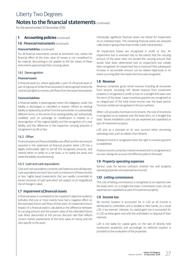### Notes to the financial statements (continued)

for the period ended 31 December 2016

### **1 Accounting policies** (continued)

1.6 *Financial instruments* (continued)

#### *Financial liabilities:* (continued)

For all financial instruments carried at amortised cost, where the financial effect of the time value of money is not considered to be material, discounting is not applied as the fair values of these instruments approximate their carrying values.

#### 1.6.1 Derecognition

#### *Financial assets*

A financial asset (or, where applicable, a part of a financial asset or part of a group of similar financial assets) is derecognised where the contractual rights to receive cash flows from the asset have expired.

#### *Financial liabilities*

A financial liability is derecognised when the obligation under the liability is discharged or cancelled or expires. Where an existing liability is replaced by another from the same lender on substantially different terms, or the terms of an existing liability are substantially modified, such an exchange or modification is treated as a derecognition of the original liability and the recognition of a new liability, and the difference in the respective carrying amounts is recognised in profit or loss.

#### 1.6.2 Offset

Financial assets and financial liabilities are offset and the net amount reported in the statement of financial position when L2D has a legally enforceable right to set-off the recognised amounts, and intends either to settle on a net basis, or to realise the asset and settle the liability simultaneously.

#### 1.6.3 Cash and cash equivalents

Cash and cash equivalents comprise cash balances and call deposits. Cash equivalents are short-term with an initial term of three months or less, highly liquid investments that are readily convertible to known amounts of cash and which are subject to an insignificant risk of change in value.

#### 1.7 *Impairment of financial assets*

A financial asset is considered to be impaired if objective evidence indicates that one or more events have had a negative effect on the estimated future cash flows of that asset. An impairment loss in respect of a financial asset is calculated as the difference between its carrying amount and the present value of the estimated future cash flows discounted at the pre-tax discount rate that reflects current market assessments of the time value of money and the risks specific to the asset.

Individually significant financial assets are tested for impairment on an individual basis. The remaining financial assets are assessed collectively in groups that share similar credit characteristics.

All impairment losses are recognised in profit or loss. An impairment loss is reversed only to the extent that the carrying amount of the asset does not exceed the carrying amount that would have been determined had no impairment loss initially been recognised. An impairment loss is reversed if the subsequent increase in recoverable amount can be related objectively to an event occurring after the impairment loss was recognised.

#### 1.8 *Revenue*

Revenue comprises gross rental revenue including all recoveries from tenants, excluding VAT. Rental revenue from investment property is recognised in profit or loss on a straight-line basis over the term of the lease. Lease incentives granted are recognised as an integral part of the total rental income over the lease period. Turnover rentals are recognised on the accrual basis.

When L2D provides incentives to its tenants, the cost of incentives is recognised as an expense over the lease term, on a straight-line basis. Tenant installation costs not yet expensed are capitalised as part of investment property.

L2D acts as a principal on its own account when recovering operating costs, such as utilities, from tenants.

Dividend income is recognised when the right to receive payment is established.

Finance income comprises interest received and is recognised as it accrues, taking into account the effective yield on the asset.

#### 1.9 *Property operating expenses*

Service costs for service contracts entered into and property operating expenses are expensed as incurred.

### 1.10 *Letting commissions*

The cost of letting commissions is recognised as an expense over the lease term, on a straight line basis. Commission costs not yet expensed are capitalised as part of investment property.

#### 1.11 *Income tax*

No income taxation is accounted for in L2D as all income is distributed to unitholders and is taxable in their hands, as a result L2D is tax exempt. Likewise, no capital gains tax is accounted for in L2D as these gains vest with the unitholders on disposal of their interests.

L2D is not liable for capital gains on the sale of directly held investment properties and accordingly no deferred taxation is provided on the revaluation of the properties.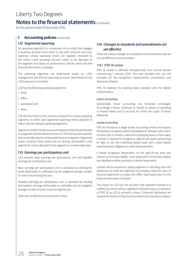### Notes to the financial statements (continued)

for the period ended 31 December 2016

### **1 Accounting policies** (continued)

#### 1.12 *Segmental reporting*

An operating segment is a component of an entity that engages in business activities from which it may earn revenues and incur expenses; whose operating results are regularly reviewed by the entity's chief operating decision maker to be allocated to the segment and assess its performance; and for which discrete financial information is available.

The operating segments are determined based on L2D's management and internal reporting structure, determined by the L2D's executive committee.

L2D has the following operating segments:

- retail;
- office;
- specialised; and
- other.

L2D will, from time to time, invest in or divest from certain operating segments, in which case segmental reporting will be adjusted to reflect only the relevant operating segments.

Segments results include revenue and expenses directly attributable to a segment and the relevant portion of L2D revenue and expenses that can be allocated on a reasonable basis to a segment. Segmental assets comprise those assets that are directly attributable to the segment or can be allocated to the segment on a reasonable basis.

### 1.13 *Earnings per participatory unit*

L2D presents basic earnings per participatory unit and headline earnings per participatory unit.

Basic earnings per participatory unit is calculated by dividing the profit attributable to unitholders by the weighted average number of units in issue during the year.

Headline earnings per participatory unit is calculated by dividing the headline earnings attributable to unitholders by the weighted average number of units in issue during the year.

There are no dilutionary instruments in issue.

### 1.14 *Changes to standards and amendments not yet effective*

There are various changes to standards and amendments that are not yet effective, as set out below:

#### 1.14.1 IFRS 16 *Leases*

IFRS 16 *Leases* is effective retrospectively from annual periods commencing 1 January 2019. The new standard sets out the principles for the recognition, measurement, presentation and disclosure of leases.

IFRS 16 replaces the existing leases standard and the related interpretations.

#### *Lessor accounting*

Substantially, lessor accounting has remained unchanged. Accordingly, a lessor continues to classify its leases as operating or finance leases and to account for those two types of leases differently.

#### *Lessee accounting*

IFRS 16 introduces a single lessee accounting model and requires the lessee to recognise assets and liabilities for all leases with a term of more than 12 months, unless the underlying asset is of low value. A lessee is required to recognise a right-of-use asset representing its right to use the underlying leased asset and a lease liability representing its obligation to make lease payments.

A lessee recognises depreciation on the right-of-use asset and interest on the lease liability. Cash repayments of the lease liability are classified as either principal or interest repayments.

Lessees will be required to apply judgement in deciding upon the disclosures to meet the objective of providing a basis for users of financial statements to assess the effect that leases have on the financial information of lessees.

The impact to L2D has not yet been fully assessed however it is unlikely that there will be a significant financial impact on adoption of IFRS 16 as L2D is primarily a lessor. Enhanced disclosures are required for lessors to improve information disclosed about a lessor.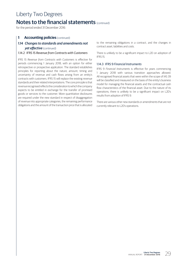# Notes to the financial statements (continued)

for the period ended 31 December 2016

### **1 Accounting policies** (continued)

### 1.14 *Changes to standards and amendments not*  **yet effective** (continued)

#### 1.14.2 IFRS 15 *Revenue from Contracts with Customers*

IFRS 15 *Revenue from Contracts with Customers* is effective for periods commencing 1 January 2018, with an option for either retrospective or prospective application. The standard establishes principles for reporting about the nature, amount, timing and uncertainty of revenue and cash flows arising from an entity's contracts with customers. IFRS 15 will replace the existing revenue standards and their related interpretations. The core principle is that revenue recognised reflects the consideration to which the company expects to be entitled in exchange for the transfer of promised goods or services to the customer. More quantitative disclosures are required under the new standard in respect of disaggregation of revenue into appropriate categories, the remaining performance obligations and the amount of the transaction price that is allocated

to the remaining obligations in a contract, and the changes in contract asset, liabilities and costs.

There is unlikely to be a significant impact to L2D on adoption of IFRS 15.

### 1.14.3 IFRS 9 *Financial Instruments*

IFRS 9 *Financial Instruments* is effective for years commencing 1 January 2018 with various transition approaches allowed. All recognised financial assets that were within the scope of IAS 39 will be classified and measured on the basis of the entity's business model for managing the financial assets and the contractual cash flow characteristics of the financial asset. Due to the nature of its operations, there is unlikely to be a significant impact on L2D's results from adoption of IFRS 9.

There are various other new standards or amendments that are not currently relevant to L2D's operations.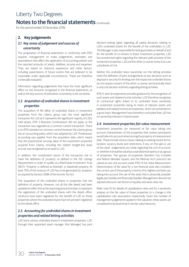### Notes to the financial statements (continued)

for the period ended 31 December 2016

### **2. Key judgements**

### 2.1 *Key areas of judgement and sources of uncertainty*

The preparation of financial statements in conformity with IFRS requires management to make judgements, estimates and assumptions that affect the application of accounting policies and the reported amounts of assets, liabilities, income and expenses. They are based on historical experience and other factors, including expectations of future events that are believed to be reasonable under applicable circumstances. These are therefore continually evaluated.

Information regarding judgements that have the most significant effect on the amounts recognised in the financial statements, as well as the key sources of estimation uncertainty, is set out below.

### 2.2 *Acquisition of undivided shares in investment properties*

The acquisition of R6 billion of undivided shares in investment properties from the Liberty group was the most significant transaction for L2D as it represents the significant majority of L2D's total assets. IFRS 3 Business Combinations did not apply, as the transaction was regarded as a common control transaction. There is no IFRS standard on common control however the Liberty group has an accounting policy which was adopted by L2D. Predecessor accounting was applied, from the acquisition date, which meant that the proportional carrying value of the investment properties acquired from Liberty, including the related straight-line lease accrual, was recognised as an asset in L2D.

In addition, the complicated nature of the transaction has to meet the definition of 'property' as defined in the JSE Listings Requirements in order to qualify as a Real Estate Investment Trust (REIT). 'Property' is defined as freehold- or leasehold property. At least 75% of the revenue of L2D has to be generated by 'property' as required by Section 25BB of the Income Tax Act.

The acquisition of the undivided shares in properties met the definition of property. However, not all the title deeds had been updated to reflect this at the reporting period end date, to represent the registration of the undivided shares with the deeds office. Usufructs have been registered for the benefit of L2D on those properties where the undivided shares had not yet been registered by the deeds office.

### 2.3 *Accounting for undivided shares in investment properties and related letting activities*

L2D owns various undivided shares in investment properties. L2D, through their appointed asset manager (the Manager) has joint decision-making rights regarding all capital decisions relating to L2D's undivided shares for the benefit of the unitholders in L2D. The Manager is also responsible for letting activities on behalf of and for the benefit of co-owners in these investment properties, L2D has unrestricted rights regarding the relevant yield activities of the investment properties. L2D and the other co-owner entity (LGL) are subsidiaries of LHL.

Neither the undivided share ownership nor the letting activities meet the definition of joint arrangements as key decisions such as disposal or security for lending over the respective undivided shares do not require consent of the other co-owner and practically there is only one decision authority regarding letting activities.

IFRS 11 *Joint Arrangements* provides guidance for the recognition of such assets and related income activities. L2D therefore recognises its contractual rights linked to its undivided share ownership in investment properties being its share of relevant assets and liabilities and related income and expenses, which are presented on a gross basis. Management have therefore concluded that L2D has an ownership interest in shared assets.

#### 2.4 *Investment properties fair value measurement*

Investment properties are measured at fair value taking into account characteristics of the properties that market participants would take into account when pricing the property at measurement date. These include various inputs relating to existing tenant terms, location, vacancy levels and restrictions, if any, on the sale or use of the asset. Judgements are made regarding the unit of account, i.e. whether it should be valued as a standalone property or as a group of properties. Two groups of properties (Sandton City Complex and Nelson Mandela Square, and the Melrose Arch precinct) are valued as one unit account under IFRS 13 *Fair Value Measurement*. Determination of fair value for a non-financial asset also considers the current use of the property in terms of its highest and best use, taking into account the use of the asset that is physically possible, legally permissible and financially feasible. Management derived risk adjusted discount rate factors in liquidity and asset class risk.

Refer note 10 for details of capitalisation rates and for a sensitivity analysis on the fair value of these properties to a change in the capitalisation rate assumption respectively. Given the number of management judgements applied in the valuation, these assets are considered to be level three in the fair value hierarchy.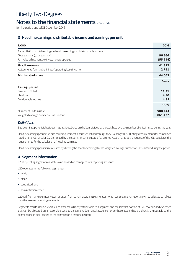# Notes to the financial statements (continued)

for the period ended 31 December 2016

### **3 Headline earnings, distributable income and earnings per unit**

| <b>R'OOO</b>                                                                   | 2016         |
|--------------------------------------------------------------------------------|--------------|
| Reconciliation of total earnings to headline earnings and distributable income |              |
| Total earnings (basic earnings)                                                | 96 566       |
| Fair value adjustments to investment properties                                | (55244)      |
| Headline earnings                                                              | 41322        |
| Adjustments for straight-lining of operating lease income                      | 2741         |
| Distributable income                                                           | 44 063       |
|                                                                                | <b>Cents</b> |
| Earnings per unit                                                              |              |
| Basic and diluted                                                              | 11,21        |
| Headline                                                                       | 4,80         |
| Distributable income                                                           | 4,85         |
|                                                                                | 000's        |
| Number of units in issue                                                       | 908 443      |
| Weighted average number of units in issue                                      | 861422       |

### *Definitions*

Basic earnings per unit is basic earnings attributable to unitholders divided by the weighted average number of units in issue during the year.

Headline earnings per unit is a disclosure requirement in terms of Johannesburg Stock Exchange's (JSE) Listings Requirements for companies listed on the JSE, Circular 2/2015, issued by the South African Institute of Chartered Accountants at the request of the JSE, stipulates the requirements for the calculation of headline earnings.

Headline earnings per unit is calculated by dividing the headline earnings by the weighted average number of units in issue during the period.

### **4 Segment information**

L2D's operating segments are determined based on managements' reporting structure.

L2D operates in the following segments:

- retail;
- office;
- specialised; and
- administration/other.

L2D will, from time to time, invest in or divest from certain operating segments, in which case segmental reporting will be adjusted to reflect only the relevant operating segments.

Segments results include revenue and expenses directly attributable to a segment and the relevant portion of L2D revenue and expenses that can be allocated on a reasonable basis to a segment. Segmental assets comprise those assets that are directly attributable to the segment or can be allocated to the segment on a reasonable basis.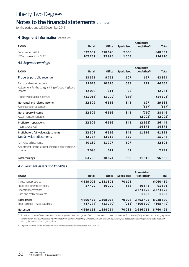# Notes to the financial statements (continued)

for the period ended 31 December 2016

### **4 Segment information** (continued)

| <b>R'OOO</b>                     | <b>Retail</b> | <b>Office</b> | <b>Specialised</b> | Administra-<br>tion/other <sup>(1)</sup> | <b>Total</b> |
|----------------------------------|---------------|---------------|--------------------|------------------------------------------|--------------|
| Total property GLA               | 522 652       | 318 620       | 7060               |                                          | 848332       |
| L2D's share of total $GLA^{(2)}$ | 102 732       | 29925         | 1553               |                                          | 134 210      |

#### 4.1 *Segment earnings*

| <b>R'OOO</b>                                                                       | <b>Retail</b> | <b>Office</b> | <b>Specialised</b> | Administra-<br>tion/other <sup>(1)</sup> | <b>Total</b> |
|------------------------------------------------------------------------------------|---------------|---------------|--------------------|------------------------------------------|--------------|
| Property portfolio revenue                                                         | 33 5 25       | 9765          | 507                | 127                                      | 43924        |
| Rental and related income<br>Adjustment for the straight-lining of operating lease | 35 623        | 10376         | 539                | 127                                      | 46 665       |
| income                                                                             | (2098)        | (611)         | (32)               |                                          | (2741)       |
| Property operating expenses                                                        | (11016)       | (3 209)       | (166)              |                                          | (14391)      |
| Net rental and related income                                                      | 22509         | 6556          | 341                | 127                                      | 29533        |
| Administration expenses                                                            |               |               |                    | (887)                                    | (887)        |
| Net property income                                                                | 22509         | 6556          | 341                | (760)                                    | 28 64 6      |
| Asset management fee                                                               |               |               |                    | (2 202)                                  | (2 202)      |
| Profit from operations                                                             | 22 509        | 6556          | 341                | (2962)                                   | 26 4 4 4     |
| Interest received                                                                  |               |               |                    | 14878                                    | 14878        |
| Profit before fair value adjustments                                               | 22 509        | 6556          | 341                | 11916                                    | 41322        |
| Net fair value adjustments                                                         | 42 287        | 12 3 18       | 639                |                                          | 55 244       |
| Fair value adjustments                                                             | 40 189        | 11707         | 607                |                                          | 52 503       |
| Adjustment for the straight-lining of operating lease<br>income                    | 2098          | 611           | 32                 |                                          | 2741         |
| <b>Total earnings</b>                                                              | 64796         | 18874         | 980                | 11916                                    | 96 566       |

### 4.2 *Segment assets and liabilities*

| <b>R'OOO</b>                       | <b>Retail</b> | <b>Office</b> | <b>Specialised</b> | Administra-<br>tion/other <sup>(1)</sup> | <b>Total</b>  |
|------------------------------------|---------------|---------------|--------------------|------------------------------------------|---------------|
| Investment property                | 4639006       | 1351305       | 70128              |                                          | 6060439       |
| Trade and other receivables        | 57429         | 16729         | 868                | 16845                                    | 91871         |
| Financial investments              |               |               |                    | 2774878                                  | 2 7 7 4 8 7 8 |
| Cash and cash equivalents          |               |               |                    | 1682                                     | 1682          |
| <b>Total assets</b>                | 4696435       | 1368034       | 70 996             | 2793405                                  | 8928870       |
| Total liabilities - trade payables | (47274)       | (13770)       | (715)              | (106690)                                 | (168449)      |
| Net assets                         | 4649161       | 1 3 5 4 2 6 4 | 70 281             | 2686715                                  | 8760421       |

*(1) Administration and other includes administration expenses, asset management fees and investment income that cannot be allocated specifically to the main operating segments. Administration assets and liabilities includes the current account with Liberty Group Limited, cash and cash equivalents, VAT payable and accruals for listing costs, audit and printing fees and asset management fees.*

*(2) Segment earnings, assets and liabilities have been allocated to segments based on L2D's GLA.*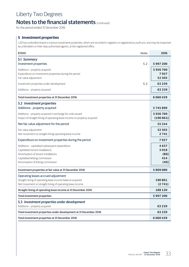# Notes to the financial statements (continued)

for the period ended 31 December 2016

### **5 Investment properties**

L2D has undivided shares in various investment properties, which are recorded in registers or registered as usufructs, and may be inspected by unitholders or their duly authorised agents, at the registered office.

| <b>R'OOO</b>                                                                                                                                                                                       | <b>Notes</b> | 2016                                |
|----------------------------------------------------------------------------------------------------------------------------------------------------------------------------------------------------|--------------|-------------------------------------|
| 5.1 Summary<br>Investment properties                                                                                                                                                               | 5.2          | 5997200                             |
| Additions - property acquired<br>Expenditure on investment properties during the period<br>Fair value adjustment                                                                                   |              | 5936760<br>7937<br>52 503           |
| Investment properties under development<br>Additions - property acquired                                                                                                                           | 5.3          | 63 239<br>63 2 3 9                  |
|                                                                                                                                                                                                    |              |                                     |
| Total investment properties at 31 December 2016                                                                                                                                                    |              | 6060439                             |
| 5.2 Investment properties<br>Additions - property acquired                                                                                                                                         |              | 5745899                             |
| Additions - property acquired in exchange for units issued<br>Impact of straight-lining of operating lease income on property acquired                                                             |              | 5936760<br>(190 861)                |
| Net fair value adjustment for the period                                                                                                                                                           |              | 55 244                              |
| Fair value adjustment<br>Net movement on straight-lining operating lease income                                                                                                                    |              | 52 503<br>2741                      |
| Expenditure on investment properties during the period                                                                                                                                             |              | 7937                                |
| Additions - capitalised subsequent expenditure<br>Capitalised tenant installations<br>Amortisation of tenant installations<br>Capitalised letting commission<br>Amortisation of letting commission |              | 4637<br>3018<br>(86)<br>414<br>(46) |
| Investment properties at fair value at 31 December 2016                                                                                                                                            |              | 5809080                             |
| Operating leases accrued adjustment<br>Straight-lining of operating lease income balance acquired<br>Net movement on straight-lining of operating lease income                                     |              | 190 861<br>(2741)                   |
| Straight-lining of operating lease income at 31 December 2016                                                                                                                                      |              | 188 120                             |
| Total investment properties                                                                                                                                                                        |              | 5997200                             |
| 5.3 Investment properties under development<br>Additions - property acquired                                                                                                                       |              | 63 2 3 9                            |
| Total investment properties under development at 31 December 2016                                                                                                                                  |              | 63 239                              |
| Total investment properties at 31 December 2016                                                                                                                                                    |              | 6060439                             |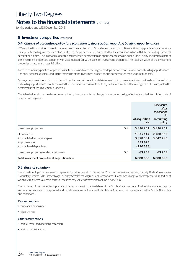### Notes to the financial statements (continued)

for the period ended 31 December 2016

### **5** Investment properties (continued)

#### 5.4 *Change of accounting policy for recognition of depreciation regarding building appurtenances*

L2D acquired its undivided shares in the investment properties from LGL under a common control transaction using predecessor accounting principles. Accordingly on the date of acquisition of the properties, L2D accounted for the acquisition in line with Liberty Holdings Limited's accounting policies. The cost and associated accumulated depreciation on appurtenances was included (on a line by line basis) as part of the investment properties, together with accumulated fair value gains on investment properties. The total fair value of the investment properties on acquisition was R6 billion.

A review of industry practice for property unit trusts has indicated that in general depreciation is not provided for on building appurtenances. The appurtenances are included in the total value of the investment properties and not separated for disclosure purposes.

Management are of the opinion that it would provide users of these financial statements with more relevant information should depreciation on building appurtenances not be provided for. The impact of this would be to adjust the accumulated fair value gains, with no impact to the net fair value of the investment properties.

The table below shows the disclosure on a line by line basis with the change in accounting policy, effectively applied from listing date of Liberty Two Degrees:

|                                                 | At acquisition<br>date | <b>Disclosure</b><br>after<br>the change<br>in<br>accounting<br>policy |
|-------------------------------------------------|------------------------|------------------------------------------------------------------------|
| 5.2<br>Investment properties                    | 5936761                | 5936761                                                                |
| Historical cost                                 | 1935142                | 2 2 8 9 6 5                                                            |
| Accumulated fair value surplus                  | 3878381                | 3647796                                                                |
| Appurtenances                                   | 353823                 |                                                                        |
| Accumulated depreciation                        | (230585)               |                                                                        |
| 5.3<br>Investment properties under development  | 63 2 3 9               | 63 2 3 9                                                               |
| Total investment properties at acquisition date | 6000000                | 6 000 000                                                              |

### 5.5 *Basis of valuation*

The investment properties were independently valued as at 31 December 2016 by professional valuers, namely Rode & Associates Proprietary Limited, Mills Fitchet Magnus Penny & Wolffs t/a Magnus Penny Associates CC and Jones Lang LaSalle Proprietary Limited, all of which are registered valuers in terms of the Property Valuers Professional Act, No 47 of 2000.

The valuation of the properties is prepared in accordance with the guidelines of the South African Institute of Valuers for valuation reports and in accordance with the appraisal and valuation manual of the Royal Institution of Chartered Surveyors, adapted for South African law and conditions.

#### Key assumption

- exit capitalisation rate
- discount rate

#### Other assumptions

- annual rental and operating escalation
- annual cost escalation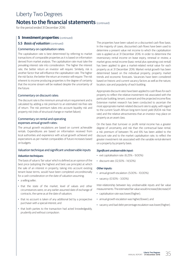### Notes to the financial statements (continued)

for the period ended 31 December 2016

### **5** Investment properties (continued)

#### **5.5** *Basis of valuation* (continued)

#### Commentary on capitalisation rates:

The capitalisation rate is best determined by referring to market transactions of comparable properties as it is based on information derived from market analysis. The capitalisation rate must take the prevailing interest rate into consideration. The higher the interest rate, the better return an investor will require. Similarly, risk is another factor that will influence the capitalisation rate. The higher the risk factor, the better the return an investor will require. The risk inherent to income producing properties is the degree of certainty that the income stream will be realised despite the uncertainty of the future.

#### Commentary on discount rates:

The discount rate is the minimum annual return requirement and is calculated by adding a risk premium to an estimated risk-free rate of return. The risk premium takes into account liquidity risk and property risk (risks of structural change or market failure).

#### Commentary on rental and operating expenses annual growth rates:

The annual growth escalations are based on current achievable rentals. Expenditures are based on information received from local authorities and experience with actual growth achieved and expectations as per market comparables of future increases based on budgets.

#### Valuation technique and significant unobservable inputs

#### *Valuation techniques:*

The basis of value is 'fair value' which is defined as an opinion of the best price (adopting the highest and best use principle) at which the sale of an interest in property, taking into account existing tenant lease terms, would have been completed unconditionally for a cash consideration on the date of valuation assuming:

- a willing seller:
- that the state of the market, level of values and other circumstances were, on any earlier assumed date of exchange of contracts, the same as at the date of valuation;
- that no account is taken of any additional bid by a prospective purchaser with a special interest; and
- that both parties to the transaction had acted knowledgeably, prudently and without compulsion.

The properties have been valued on a discounted cash flow basis. In the majority of cases, discounted cash flows have been used to determine a present value net income to which the capitalisation rate is applied as at 31 December 2016. In order to determine the reversionary rental income on lease expiry, renewal or review, a market gross rental income (basic rental plus operating cost rental) has been applied to give a market-related rental value for each property as at 31 December 2016. Market rental growth has been determined based on the individual property, property market trends and economic forecasts. Vacancies have been considered based on historic and current vacancy factors as well as the nature, location, size and popularity of each building.

Appropriate discount rates have been applied to cash flows for each property to reflect the relative investment risk associated with the particular building, tenant, covenant and the projected income flow. Extensive market research has been conducted to ascertain the most appropriate market-related discount rate to apply, with regard to the current South African long-term bond yield (R204 risk free rate) and the relative attractiveness that an investor may place on property as an asset class.

On the basis that turnover or profit rental income has a greater degree of uncertainty and risk than the contractual base rental, a risk premium of between 1% and 6% has been added to the discount rate and to the market capitalisation rate, to reflect the greater investment risk associated with the variable rental element on a property by property basis.

#### *Significant unobservable input:*

- exit capitalisation rate: (6.25% 9.00%)
- discount rate: (12,50% 14,50%)

#### *Other inputs:*

- annual growth escalation: (5.00% 10.00%)
- vacancy: (0.50% 3.00%)

Inter-relationship between key unobservable inputs and fair value measurements: The estimated fair value would increase/(decrease) if:

- capitalisation rate was lower/(higher);
- annual growth escalation was higher/(lower); and
- vacancy and bad debt percentage escalation was lower/(higher).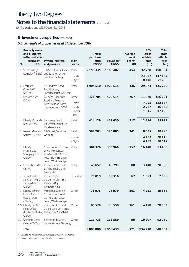# Notes to the financial statements (continued)

for the period ended 31 December 2016

### **5** Investment properties (continued)

### 5.6 *Schedule of properties as at 31 December 2016*

| <b>No</b> | <b>Property name</b><br>and % interest<br>in the undivided<br>shares by<br>L <sub>2</sub> D | <b>Physical address</b><br>and province                                                                          | <b>Main</b><br>sector              | <b>Initial</b><br>purchase<br>price<br>R'OOO(1) | Valuation <sup>(1)</sup><br><b>R'OOO</b> | Average<br>rental<br>per $m2$<br>(R) | L <sub>2</sub> D's<br>gross<br><b>lettable</b><br>area<br>(m <sup>2</sup> ) | <b>Total</b><br>gross<br>lettable<br>area<br>(m <sup>2</sup> ) |
|-----------|---------------------------------------------------------------------------------------------|------------------------------------------------------------------------------------------------------------------|------------------------------------|-------------------------------------------------|------------------------------------------|--------------------------------------|-----------------------------------------------------------------------------|----------------------------------------------------------------|
|           | 1 Sandton City                                                                              | 5th Street, Alice Lane                                                                                           | Retail                             | 2 158 335                                       | 2 168 402                                | 454                                  | 32720                                                                       | 198 304                                                        |
|           | Complex (16,5%)                                                                             | and Sandton Drive,<br>Sandton, Gauteng                                                                           | - Retail<br>- Office               |                                                 |                                          |                                      | 24 27 2<br>8448                                                             | 147 104<br>51 200                                              |
|           | 2 Eastgate<br>Complex <sup>(2)</sup><br>(22,0%)                                             | 43 Bradford Road,<br>Bedfordview,<br>Johannesburg, Gauteng                                                       | Retail                             | 1904510                                         | 1926515                                  | 436                                  | 29874                                                                       | 135790                                                         |
|           | 3 Melrose Arch                                                                              | 60 Atholl Oaklands                                                                                               | Office                             | 421704                                          | 423 514                                  | 267                                  | 11020                                                                       | 186 291                                                        |
|           | (5,5%)                                                                                      | Road and Melrose<br>Blvd, Melrose North,<br>Johannesburg, 2076                                                   | - Office<br>- Retail<br>- Special- |                                                 |                                          |                                      | 7 2 2 8<br>2777<br>1015                                                     | 122 187<br>46 948<br>17156                                     |
|           | 4 Liberty Midlands<br>Mall (22,0%)                                                          | Sanctuary Road,<br>Pietermaritzburg, 3201,<br>KwaZulu-Natal                                                      | ised<br>Retail                     | 414 129                                         | 419630                                   | 317                                  | 12 3 14                                                                     | 55 973                                                         |
|           | 5 Nelson Mandela<br>Square (22,0%)                                                          | 5th Street, Sandton,                                                                                             | Retail                             | 387283                                          | 393885                                   | 341                                  | 8535                                                                        | 38795                                                          |
|           |                                                                                             | Gauteng                                                                                                          | - Retail<br>- Office               |                                                 |                                          |                                      | 4433<br>4 1 0 2                                                             | 20 148<br>18647                                                |
|           | 6 Liberty<br>Promenade<br>Shopping Centre<br>(22,0%)                                        | Corner of AZ Berman<br>Drive, Morgenster<br>Road and 11th Avenue,<br>Mitchells Plain, Cape<br>Town, Western Cape | Retail                             | 304 326                                         | 306 966                                  | 157                                  | 16 148                                                                      | 73 400                                                         |
|           | 7 Botshabelo Mall<br>(15,4%)                                                                | Portions 2 and 3 of<br>Erf 1 Botshabelo-H,<br><b>Free State</b>                                                  | Retail                             | 49657                                           | 49793                                    | 88                                   | 3 1 4 0                                                                     | 20 3 90                                                        |
|           | 8 John Ross Eco<br>serviced stands<br>(22,0%)                                               | Portion 16 and<br>Junction - varying Portion 17, Erf 11451,<br>Richards Bay,<br>KwaZulu-Natal                    | Specialised                        | 75819                                           | 85 316                                   | 62                                   | 1553                                                                        | 7060                                                           |
|           | 9 Liberty Centre<br>Head Office<br>(Cape Town)<br>(22,0%)                                   | Montague Gardens,<br>Century Boulevard,<br>Century City, Cape<br>Town, Western Cape                              | Office                             | 78975                                           | 78979                                    | 203                                  | 4 2 2 1                                                                     | 19188                                                          |
|           | 10 Liberty Centre<br>Head Office<br>(22,0%)                                                 | 21 Aurora Drive and<br>2 Park Lane, Umhlanga<br>(Umhlanga Ridge) Ridge, KwaZulu-Natal                            | Office                             | 88526                                           | 90 550                                   | 161                                  | 4478                                                                        | 20352                                                          |
|           | 11 Standard Bank<br>Centre (11,0%)                                                          | 5 Simmonds Street,<br>Johannesburg, Gauteng                                                                      | Office                             | 116736                                          | 116889                                   | 90                                   | 10 207                                                                      | 92789                                                          |
|           | <b>Total</b>                                                                                |                                                                                                                  |                                    | 6 000 000                                       | 6 0 6 0 4 3 9                            | 321                                  | 134 210                                                                     | 848332                                                         |

*(1) Excludes the impact of straight-lining of operating lease income.*

*(2) Eastgate office tower is currently under construction.*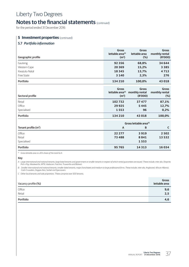# Notes to the financial statements (continued)

for the period ended 31 December 2016

### **5** Investment properties (continued)

#### 5.7 *Portfolio information*

| Geographic profile               | <b>Gross</b><br>lettable area <sup>(1)</sup><br>(m <sup>2</sup> ) | <b>Gross</b><br>lettable area<br>$(\%)$   | <b>Gross</b><br>monthly rental<br>(R'000) |
|----------------------------------|-------------------------------------------------------------------|-------------------------------------------|-------------------------------------------|
| Gauteng                          | 92 3 5 6                                                          | 68,8%                                     | 34 644                                    |
| Western Cape                     | 20 3 69                                                           | 15,2%                                     | 3 3 8 5                                   |
| Kwazulu-Natal                    | 18 3 4 5                                                          | 13,7%                                     | 4713                                      |
| <b>Free State</b>                | 3 1 4 0                                                           | 2,3%                                      | 276                                       |
| Portfolio                        | 134 210                                                           | 100,0%                                    | 43018                                     |
| Sectoral profile                 | <b>Gross</b><br>lettable area <sup>(1)</sup><br>(m <sup>2</sup> ) | <b>Gross</b><br>monthly rental<br>(R'000) | <b>Gross</b><br>monthly rental<br>$(\% )$ |
| Retail                           | 102732                                                            | 37477                                     | 87,1%                                     |
| Office                           | 29925                                                             | 5445                                      | 12,7%                                     |
| Specialised                      | 1553                                                              | 96                                        | 0,2%                                      |
| Portfolio                        | 134 210                                                           | 43018                                     | 100,0%                                    |
|                                  |                                                                   | Gross lettable area <sup>(1)</sup>        |                                           |
| Tenant profile (m <sup>2</sup> ) | A                                                                 | B                                         | C                                         |
| Office                           | 22 277                                                            | 3919                                      | 2502                                      |
| Retail                           | 73488                                                             | 8841                                      | 13532                                     |
| Specialised                      |                                                                   | 1553                                      |                                           |

Portfolio **95 765 14 313 16 034** 

*(1) Gross lettable area is L2D's share of the total GLA.*

Key

*A Large international and national tenants, large listed tenants and government or smaller tenants in respect of which rental guarantees are issued. These include, inter alia, Shoprite, Pick n Pay, Woolworths, MTN, Vodacom, Foschini, Truworths and Bidvest.*

*B Smaller international and national tenants, smaller listed tenants, major franchisees and medium to large professional firms. These include, inter alia, Anglorand, African Alliance, Cash Crusaders, Doppio Zero, Sorbet and Specsavers.*

*C Other local tenants and sole proprietors. These comprise over 500 tenants.*

| Vacancy profile (%) | <b>Gross</b><br>lettable area |
|---------------------|-------------------------------|
| Office              | 9,6                           |
| Retail              | 2,5                           |
| Portfolio           | 4,6                           |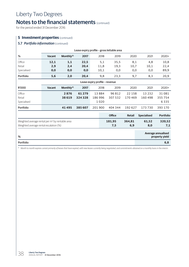# Notes to the financial statements (continued)

for the period ended 31 December 2016

### **5** Investment properties (continued)

### **5.7** *Portfolio information* (continued)

|                                                             |               |                        |          |         |      | Lease expiry profile - gross lettable area |               |                    |                                      |
|-------------------------------------------------------------|---------------|------------------------|----------|---------|------|--------------------------------------------|---------------|--------------------|--------------------------------------|
| %                                                           | <b>Vacant</b> | Monthly <sup>(1)</sup> | 2017     |         | 2018 | 2019                                       | 2020          | 2021               | $2020+$                              |
| Office                                                      | 12,1          | 1,1                    | 22,5     |         | 5,1  | 35,5                                       | 8,1           | 4,8                | 10,8                                 |
| Retail                                                      | 2,9           | 2,4                    | 20,4     |         | 11,8 | 19,3                                       | 10,7          | 10,1               | 22,4                                 |
| Specialised                                                 | 0,0           | 0,0                    | 0,0      |         | 10,1 | 0,0                                        | 0,0           | 0,0                | 89,9                                 |
| Portfolio                                                   | 5,6           | 2,0                    | 20,4     |         | 9,8  | 23,3                                       | 9,7           | 8,3                | 20,9                                 |
| Lease expiry profile - revenue                              |               |                        |          |         |      |                                            |               |                    |                                      |
| <b>R'OOO</b>                                                | <b>Vacant</b> | Monthly <sup>(1)</sup> | 2017     |         | 2018 | 2019                                       | 2020          | 2021               | $2020+$                              |
| Office                                                      |               | 2876                   | 61 2 7 9 | 13884   |      | 96812                                      | 22 158        | 13 2 3 2           | 31081                                |
| Retail                                                      |               | 38619                  | 324 328  | 186 996 |      | 307 532                                    | 170469        | 160498             | 355754                               |
| Specialised                                                 |               |                        |          |         | 1020 |                                            |               |                    | 6335                                 |
| Portfolio                                                   |               | 41 4 95                | 385 607  | 201 900 |      | 404 344                                    | 192 627       | 173730             | 393 170                              |
|                                                             |               |                        |          |         |      | <b>Office</b>                              | <b>Retail</b> | <b>Specialised</b> | <b>Portfolio</b>                     |
| Weighted average rental per m <sup>2</sup> by rentable area |               |                        |          |         |      | 181,95                                     | 364.81        | 61,52              | 320,52                               |
| Weighted average rental escalation (%)                      |               |                        |          |         |      | 7,5                                        | 6,9           | 8,0                | 7,1                                  |
| $\frac{0}{0}$                                               |               |                        |          |         |      |                                            |               |                    | Average annualised<br>property yield |
| Portfolio                                                   |               |                        |          |         |      |                                            |               |                    | 6,8                                  |

*(1) Month to month expiries consist primarily of leases that have expired, with new leases currently being negotiated, and commitments obtained on a monthly basis in the interim.*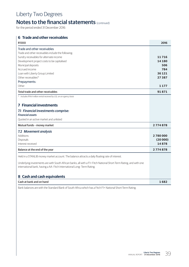# Notes to the financial statements (continued)

for the period ended 31 December 2016

### **6 Trade and other receivables**

| <b>R'OOO</b>                                                                                                                                                                                  | 2016    |
|-----------------------------------------------------------------------------------------------------------------------------------------------------------------------------------------------|---------|
| Trade and other receivables                                                                                                                                                                   |         |
| Trade and other receivables include the following:                                                                                                                                            |         |
| Sundry receivables for alternate income                                                                                                                                                       | 11716   |
| Development project costs to be capitalised                                                                                                                                                   | 14 180  |
| Municipal deposits                                                                                                                                                                            | 506     |
| Accrued income                                                                                                                                                                                | 784     |
| Loan with Liberty Group Limited                                                                                                                                                               | 36 1 21 |
| Other receivables <sup>(1)</sup>                                                                                                                                                              | 27387   |
| Prepayments:                                                                                                                                                                                  |         |
| Other                                                                                                                                                                                         | 1 1 7 7 |
| Total trade and other receivables                                                                                                                                                             | 91871   |
| <sup>(1)</sup> Includes R14,4 million rental received by LGL on an agency basis                                                                                                               |         |
| <b>7 Financial investments</b>                                                                                                                                                                |         |
|                                                                                                                                                                                               |         |
| 7.1 Financial investments comprise:                                                                                                                                                           |         |
| <b>Financial assets</b>                                                                                                                                                                       |         |
| Quoted in an active market and unlisted                                                                                                                                                       |         |
| Mutual funds - money market                                                                                                                                                                   | 2774878 |
| 7.2 Movement analysis                                                                                                                                                                         |         |
| <b>Additions</b>                                                                                                                                                                              | 2780000 |
| Disposals                                                                                                                                                                                     | (20000) |
| Interest received                                                                                                                                                                             | 14878   |
| Balance at the end of the year                                                                                                                                                                | 2774878 |
| Held in a STANLIB money market account. The balance attracts a daily floating rate of interest.                                                                                               |         |
| Underlying investments are with South African banks, all with a F1+ Fitch National Short-Term Rating, and with one<br>international bank, having a AA- Fitch International Long- Term Rating. |         |
| 8 Cash and cash equivalents                                                                                                                                                                   |         |
| Cash at bank and on hand                                                                                                                                                                      | 1682    |

Bank balances are with the Standard Bank of South Africa which has a Fitch F1+ National Short-Term Rating.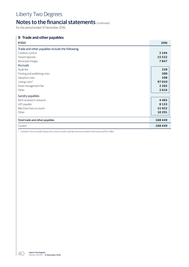# Notes to the financial statements (continued)

for the period ended 31 December 2016

### **9 Trade and other payables**

| <b>R'OOO</b>                                    | 2016     |
|-------------------------------------------------|----------|
| Trade and other payables include the following: |          |
| Creditors control                               | 3 1 9 4  |
| Tenant deposits                                 | 15 5 32  |
| Municipal charges                               | 7847     |
| <b>Accruals</b>                                 |          |
| Audit fee                                       | 339      |
| Printing and publishing costs                   | 300      |
| Valuation costs                                 | 598      |
| Listing costs <sup>(1)</sup>                    | 97010    |
| Asset management fee                            | 2 2 0 2  |
| Other                                           | 2616     |
| Sundry payables                                 |          |
| Rent received in advance                        | 4 4 6 5  |
| VAT payable                                     | 8133     |
| Merchant Ioan accounts                          | 15922    |
| Other                                           | 10 2 9 1 |
| Total trade and other payables                  | 168 449  |
| Current                                         | 168 449  |

*(1) Included in the accrual for listing costs is the accrual for audit fee services provided in the amount of R2.2 million*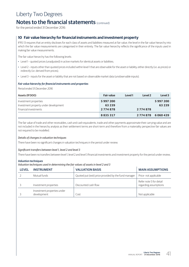# Notes to the financial statements (continued)

for the period ended 31 December 2016

### **10 Fair value hierarchy for financial instruments and investment property**

IFRS 13 requires that an entity discloses for each class of assets and liabilities measured at fair value, the level in the fair value hierarchy into which the fair value measurements are categorised in their entirety. The fair value hierarchy reflects the significance of the inputs used in making fair value measurements.

The fair value hierarchy has the following levels:

- Level 1 quoted prices (unadjusted) in active markets for identical assets or liabilities;
- Level 2 inputs other than quoted prices included within level 1 that are observable for the asset or liability, either directly (i.e. as prices) or indirectly (i.e. derived from prices);
- Level 3 inputs for the asset or liability that are not based on observable market data (unobservable inputs).

#### *Fair value hierarchy for financial instruments and properties*

*Period ended 31 December 2016*

| Assets (R'OOO)                        | <b>Fair value</b> | Level 1 | Level 2       | Level 3             |
|---------------------------------------|-------------------|---------|---------------|---------------------|
| Investment properties                 | 5997200           |         |               | 5997200             |
| Investment property under development | 63 2 3 9          |         |               | 63 2 3 9            |
| Financial investments                 | 2 7 7 4 8 7 8     |         | 2 7 7 4 8 7 8 |                     |
|                                       | 8835317           |         |               | 2 774 878 6 060 439 |

The fair value of trade and other receivables, cash and cash equivalents, trade and other payments approximate their carrying value and are not included in the hierarchy analysis as their settlement terms are short-term and therefore from a materiality perspective fair values are not required to be modelled.

#### *Details of changes in valuation techniques*

There have been no significant changes in valuation techniques in the period under review.

#### *Significant transfers between level 1, level 2 and level 3*

There have been no transfers between level 1, level 2 and level 3 financial investments and investment property for the period under review..

#### *Valuation techniques*

*Valuation techniques used in determining the fair values of assets in level 2 and 3*

| <b>LEVEL</b> | <b>INSTRUMENT</b>                          | <b>VALUATION BASIS</b>                               | <b>MAIN ASSUMPTIONS</b>                          |
|--------------|--------------------------------------------|------------------------------------------------------|--------------------------------------------------|
|              | Mutual funds                               | Quoted put (exit) price provided by the fund manager | Price- not applicable                            |
|              | Investment properties                      | Discounted cash flow                                 | Refer note 5 for detail<br>regarding assumptions |
|              | Investment properties under<br>development | Cost                                                 | Not applicable                                   |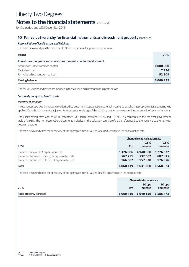# Notes to the financial statements (continued)

for the period ended 31 December 2016

### **10 Fair value hierarchy for financial instruments and investment property (continued)**

### *Reconciliation of level 3 assets and liabilities*

The table below analyses the movement of level 3 assets for the period under review.

| <b>R'OOO</b>                                                  | 2016      |
|---------------------------------------------------------------|-----------|
| Investment property and investment property under development |           |
| Acquisitions under common control                             | 6 000 000 |
| Capitalised cost                                              | 7936      |
| Fair value adjustments (unrealised)                           | 52 503    |
| Closing balance                                               | 6060439   |

The fair value gains and losses are included in the fair value adjustments line in profit or loss.

### *Sensitivity analysis of level 3 assets*

#### *Investment property*

Investment properties fair values were derived by determining sustainable net rental income, to which an appropriate capitalisation rate is applied. Capitalisation rates are adjusted for occupancy levels, age of the building, location and expected future benefit of recent alterations.

The capitalisation rates applied at 31 December 2016 range between 6,25% and 9,00%. This compares to the ten-year government yield of 8,93%. The non-observable adjustments included in the valuation can therefore be referenced to the variance to the ten-year government rate.

The table below indicates the sensitivity of the aggregate market values for a 0,5% change in the capitalisation rate.

|                                                     | Change in capitalisation rate |           |          |
|-----------------------------------------------------|-------------------------------|-----------|----------|
|                                                     | 0.5%                          |           | 0.5%     |
| 2016                                                | <b>Rm</b>                     | increase  | decrease |
| Properties below 6,8% capitalisation rate           | 5 3 2 6 0 0 6                 | 4940860   | 5776332  |
| Properties between 6,8% - 8,5% capitalisation rate  | 567751                        | 532 602   | 607915   |
| Properties between 8,6% - 10,5% capitalisation rate | 166 682                       | 157838    | 176576   |
| <b>Total</b>                                        | 6060439                       | 5 631 300 | 6560823  |

The table below indicates the sensitivity of the aggregate market values for a 50 bps change in the discount rate.

|                          | Change in discount rate |                                |          |
|--------------------------|-------------------------|--------------------------------|----------|
|                          | 50 bps                  |                                | 50 bps   |
| 2016                     | <b>Rm</b>               | <i>increase</i>                | decrease |
| Total property portfolio |                         | 6 0 60 439 5 940 159 6 186 473 |          |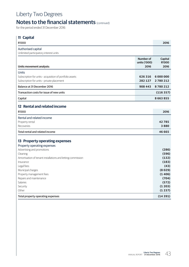# Notes to the financial statements (continued)

for the period ended 31 December 2016

| 11 Capital                                                                                                      |                                          |                                        |
|-----------------------------------------------------------------------------------------------------------------|------------------------------------------|----------------------------------------|
| <b>R'OOO</b>                                                                                                    |                                          | 2016                                   |
| Authorised capital<br>Unlimited participatory interest units                                                    |                                          |                                        |
| Units movement analysis:                                                                                        | <b>Number of</b><br>units ('000)<br>2016 | <b>Capital</b><br><b>R'OOO</b><br>2016 |
| Units<br>Subscription for units - acquisition of portfolio assets<br>Subscription for units - private placement | 626316<br>282 127                        | 6000000<br>2780212                     |
| Balance at 31 December 2016                                                                                     | 908 443                                  | 8780212                                |
| Transaction costs for issue of new units                                                                        |                                          | (116357)                               |
| Capital                                                                                                         |                                          | 8663855                                |
| 12 Rental and related income                                                                                    |                                          |                                        |
| <b>R'OOO</b>                                                                                                    |                                          | 2016                                   |
| Rental and related income<br>Property rental<br>Recoveries                                                      |                                          | 42785<br>3880                          |
| Total rental and related income                                                                                 |                                          | 46 665                                 |
| 13 Property operating expenses<br>Property operating expenses                                                   |                                          |                                        |
| Advertising and promotions<br>Cleaning<br>Amortisation of tenant installations and letting commission           |                                          | (286)<br>(596)<br>(132)                |
| Insurance                                                                                                       |                                          | (183)                                  |
| Legal fees<br>Municipal charges                                                                                 |                                          | (43)<br>(8029)                         |
| Property management fees                                                                                        |                                          | (1406)                                 |
| Repairs and maintenance                                                                                         |                                          | (704)                                  |
| <b>Salaries</b>                                                                                                 |                                          | (572)                                  |
| Security                                                                                                        |                                          | (1203)                                 |
| Other                                                                                                           |                                          | (1237)                                 |
| Total property operating expenses                                                                               |                                          | (14 391)                               |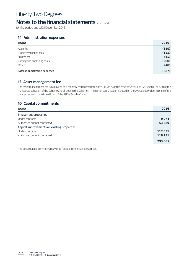# Notes to the financial statements (continued)

for the period ended 31 December 2016

### **14 Administration expenses**

| <b>R'OOO</b>                  | 2016  |
|-------------------------------|-------|
| Audit fee                     | (339) |
| Property valuation fees       | (155) |
| Trustee fee                   | (45)  |
| Printing and publishing costs | (300) |
| Other                         | (48)  |
| Total administration expenses | (887) |

### **15 Asset management fee**

The asset management fee is calculated as a monthly management fee of  $1/12$  of 0,4% of the enterprise value of L2D (being the sum of the market capitalisation of the Scheme and all debt in the Scheme). The market capitalisation is based on the average daily closing price of the units as quoted on the Main Board of the JSE of South Africa.

### **16 Capital commitments**

| <b>R'OOO</b>                                | 2016    |
|---------------------------------------------|---------|
| Investment properties                       |         |
| Under contracts                             | 9074    |
| Authorised but not contracted               | 53 689  |
| Capital improvements on existing properties |         |
| Under contracts                             | 112051  |
| Authorised but not contracted               | 118251  |
|                                             | 293 065 |

The above capital commitments will be funded from existing resources.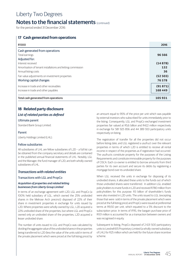### Notes to the financial statements (continued)

for the period ended 31 December 2016

### **17 Cash generated from operations**

| <b>R'OOO</b>                                                | 2016    |
|-------------------------------------------------------------|---------|
| Cash generated from operations                              |         |
| Total earnings                                              | 96 566  |
| Adjusted for:                                               |         |
| Interest received                                           | (14878) |
| Amortisation of tenant installations and letting commission | 132     |
| Annual listing costs                                        | 36      |
| Fair value adjustments on investment properties             | (52503) |
| Working capital changes                                     | 76578   |
| Increase in trade and other receivables                     | (91871) |
| Increase in trade and other payables                        | 168 449 |
| Total cash generated from operations                        | 105931  |

# **18 Related party disclosure**

### *List of related parties as defined*

#### Ultimate parent

Standard Bank Group Limited.

#### Parent

Liberty Holdings Limited (LHL).

#### Fellow subsidiaries

All subsidiaries of LHL are fellow subsidiaries of L2D – a full list can be obtained from the company secretary and details are contained in the published annual financial statements of LHL. Notably, LGL and the Manager, the fund manager of L2D, are both wholly-owned subsidiaries of LHL.

#### *Transactions with related entities*

#### Transactions with LGL and PropCo

#### *Acquisition of properties and related letting businesses from Liberty Group Limited*

In terms of an exchange agreement with L2D, LGL and PropCo (a 100% held subsidiary of LGL, which owned the 25% undivided shares in the Melrose Arch precinct) disposed of 22% of their share in investment properties in exchange for units issued by L2D. Where properties were wholly-owned by LGL, L2D acquired a 22% undivided share of the properties, but where LGL and PropCo owned only an undivided share of the properties, L2D acquired a lesser undivided share.

The number of units issued to LGL and PropCo was calculated by dividing the aggregate value of the undivided shares in the properties being transferred to L2D (less the value of the units sold in terms of the private placement which were priced at the full listing price) by an amount equal to 95% of the price per unit which was payable by external investors who subscribed for units immediately prior to the listing. Consequently, LGL and PropCo exchanged investment properties fair valued at R5,6 billion and R422 million respectively in exchange for 581 925 856 and 44 389 933 participatory units respectively on listing.

The registration of transfer for all the properties did not occur before listing date, and LGL registered a usufruct over the relevant properties in terms of which L2D is entitled to receive all rental income in respect of the properties as if registration had occurred. The usufructs constitute property for the purposes of the Listing Requirements and constitute immovable property for the purposes of CISCA. Each co-owner is entitled to borrow amounts from third parties for its own account and secure its debts by registering a mortgage bond over its undivided share.

When LGL received the units in exchange for disposing of its undivided shares, it allocated these units to the funds out of which those undivided shares were transferred. In addition LGL enabled policyholders to invest funds in L2D and received R780 million from policyholders for this purpose. R3 billion of shareholder's funds were also invested in L2D units. The units issued to LGL (excepting those that were sold in terms of the private placement which were priced at the full listing price) and PropCo were issued at preferential terms at R9,50 per unit, which equated to a 5% discount to the subscription price. In terms of IFRS, the bargain purchase price of R101 million is accounted for as a transaction between owners and was recognised in equity.

Subsequent to listing, PropCo disposed of 2 631 500 participatory units to Lexshell 615 Proprietary Limited (a wholly-owned subsidiary of LHL) for R25 million which are held for the future share incentive scheme.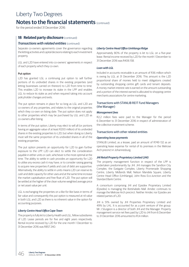### Notes to the financial statements (continued)

for the period ended 31 December 2016

### **18 Related party disclosure** (continued)

#### *Transactions with related entities* (continued)

Separate co-owners agreements cover the governance regarding the letting activities and capital decisions relating to each investment property.

LGL and L2D have entered into co-owners' agreements in respect of each property which they co-own.

#### Put option

L2D has granted LGL a continuing put option to sell further portions of its undivided shares in the existing properties (and letting businesses carried on thereon) to L2D from time to time. This enables L2D to increase its stake in the LPP and enables LGL to reduce its stake as and when required taking into account policyholder changes and exits.

The put option remains in place for so long as LGL and L2D are co-owners of any properties, and relates to the original properties which they co-own on listing date. The put option does not apply to other properties which may be purchased by LGL and L2D as co-owners after listing.

In terms of the put option, Liberty may elect to sell all (or portions having an aggregate value of at least R200 million) of its undivided shares in the existing properties to L2D, but when doing so Liberty must sell the same proportion of its undivided shares in all of the existing properties.

The put option presents an opportunity for L2D to gain further exposure to the LPP. L2D can elect to settle the consideration payable in either units or cash, whichever is the most optimal at the time. The ability to settle in cash provides an opportunity for L2D to utilise any excess cash it may have, or to consider raising gearing to acquire new properties if yields and cost of debt are supportive. Alternatively, the ability to settle in units means L2D can reserve its cash and debt capacity for other uses and at the same time increase the market capitalisation and free float of L2D. The put option will be settled at the higher of the clean volume weighted average price or net asset value per unit.

LGL is exchanging the properties on a like-for-like basis in terms of fair value and consequently this put option is measured at nil value in both LGL and L2D as there is no inherent value in the option for accounting purposes.

#### *Liberty Centre Head Office Cape Town*

The property is fully let to Liberty Health and LGL, fellow subsidiaries of L2D. Lease periods are for five and eight years respectively. Rental income received by L2D for the one month 1 December to 31 December 2016 was R857 240.

#### *Liberty Centre Head Office Umhlanga Ridge*

Approximately 80% of the property is let to LGL on a five-year lease. Rental income received by L2D for the month 1 December to 31 December 2016 was R406 158.

#### *Loan with LGL*

Included in accounts receivable is an amount of R36 million which is owing by LGL at 31 December 2016. This amount is the L2D proportional share of monies held to meet obligations created by outstanding shopping centre gift cards and tenant deposits. A money market interest rate is earned on the amount outstanding and a portion of the interest earned is allocated to shopping centre merchants associations for centre marketing.

#### Transactions with STANLIB REIT Fund Managers (the Manager)

#### *Management fees*

R2,2 million fees were paid to the Manager for the period 6 December to 31 December 2016 in respect of administration of the collective investment scheme.

#### Transactions with other related entities

#### *Operating lease payments*

STANLIB Limited, as a lessee, paid an amount of R749 132 as an operating lease expense for rental of its premises in the Melrose Arch precinct in Johannesburg.

#### *JHI Retail Property Proprietary Limited (JHI)*

The property management function in respect of the LPP is undertaken predominantly by JHI. JHI manages the Sandton City Complex, the Eastgate Complex, Liberty Promenade Shopping Centre, Liberty Midlands Mall, Nelson Mandela Square, Liberty Centre Head Office (Umhlanga), John Ross Eco-Junction and the Standard Bank Centre.

A consortium comprising JHI and Epsidex Proprietary Limited (Epsidex) is managing the Botshabelo Mall. Amdec continues to manage the Melrose Arch precinct. Neither Amdec nor Epsidex are related parties of L2D.

JHI is 51% owned by JHI Properties Proprietary Limited and 49% by LHL. It is accounted for as a joint venture of the group. Mr J Sturgeon is a director of both JHI and the Manager. Property management service net fees paid by L2D to JHI from 6 December to 31 December 2016 amounted to R1,4 million.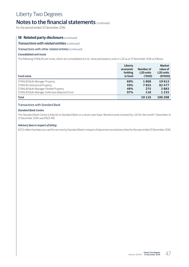# Notes to the financial statements (continued)

for the period ended 31 December 2016

### **18 Related party disclosure** (continued)

### *Transactions with related entities* (continued)

Transactions with other related entities (continued)

#### *Consolidated unit trusts*

The following STANLIB unit trusts, which are consolidated at LHL, have participatory units in L2D as at 31 December 2016 as follows:

|                                               | Liberty  |                  | <b>Market</b>    |
|-----------------------------------------------|----------|------------------|------------------|
|                                               | economic | Number of        | value of         |
|                                               | holding  | <b>L2D</b> units | <b>L2D</b> units |
| Fund name                                     | in fund  | (000)            | (R'000)          |
| STANLIB Multi-Manager Property                | 69%      | 1868             | 19613            |
| <b>STANLIB Institutional Property</b>         | 59%      | 7855             | 82477            |
| STANLIB Multi-Manager Flexible Property       | 49%      | 275              | 2883             |
| STANLIB Multi-Manager Defensive Balanced Fund | 97%      | 118              | 1 2 3 5          |
| <b>Total</b>                                  |          | 10 1 16          | 106 208          |

#### Transactions with Standard Bank

#### *Standard Bank Centre*

The Standard Bank Centre is fully let to Standard Bank on a seven-year lease. Rental income received by L2D for the month 1 December to 31 December 2016 was R923 416.

#### *Advisory fees in respect of listing*

R27,5 million has been accrued for services by Standard Bank in respect of placement and advisory fees for the year ended 31 December 2016.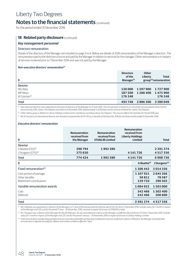## Notes to the financial statements (continued)

for the period ended 31 December 2016

### **18 Related party disclosure** (continued)

#### *Key management personnel*

#### Directors remuneration

Details of the directors of the Manager are included on page 5 to 6. Below are details of 2016 remuneration of the Manager's directors. The remuneration paid to the directors is borne and paid by the Manager in relation to services for the manager. Other remuneration is in respect of services rendered prior to 1 December 2016 and was not paid by the Manager.

#### *Non-executive directors' remuneration(1)*

| R                       | <b>Directors</b><br><b>Other</b><br>of the<br>Liberty<br>Manager <sup>(1)</sup><br>$group^{(2)}$ remuneration | <b>Total</b> |
|-------------------------|---------------------------------------------------------------------------------------------------------------|--------------|
| <b>Director</b>         |                                                                                                               |              |
| MG Ilsley               | 1 597 900<br>130 000<br>1 7 2 7 9 0 0                                                                         |              |
| MP Moyo                 | 1 2 8 4 4 0 0<br>1475900<br>187 500                                                                           |              |
| W Cesman <sup>(3)</sup> | 176 248<br>176 248                                                                                            |              |
| <b>Total</b>            | 2886300<br>3 3 8 0 0 4 8<br>493 748                                                                           |              |

<sup>(1)</sup> Non-executive directors were appointed to the board of directors of the Manager on 17 June 2016. The remuneration is based on an annual fee and was paid for three months' *service during 2016. Liberty Two Degrees was listed on 6 December 2016. Approximately ⅓ of the fees was for services rendered for Liberty Two Degrees.*

*(2) Other Liberty group is defined as Liberty Holdings Limited and its subsidiaries excluding Liberty Two Degrees. The amount reflects the total fees for the full 2016 year.*

*(3) Mr W Cesman is an international director and received a composite fee of £10 012 as a member of the board for 2016 for the three months ended 31 December 2016.*

#### *Executive directors' remuneration*

| R                                                                                    | <b>Remuneration</b><br>received from<br>the Manager | Remuneration<br>received from<br><b>STANLIB Limited</b> | <b>Remuneration</b><br><b>Liberty Holdings</b> | received from<br><b>Limited</b> | <b>Total</b>                |
|--------------------------------------------------------------------------------------|-----------------------------------------------------|---------------------------------------------------------|------------------------------------------------|---------------------------------|-----------------------------|
| <b>Director</b><br>A Beattie (CEO) <sup>(1)</sup><br>J Sturgeon (CFO) <sup>(2)</sup> | 398794<br>375630                                    | 1992580                                                 |                                                | 4 141 726                       | 2 3 9 1 3 7 4<br>4517356    |
| <b>Total</b>                                                                         | 774424                                              | 1992580                                                 |                                                | 4 141 726                       | 6908730                     |
| R                                                                                    |                                                     |                                                         |                                                | A Beattie <sup>(1)</sup>        | J Sturgeon <sup>(2)</sup>   |
| Fixed remuneration $(3)$                                                             |                                                     |                                                         |                                                | 1 306 442                       | 3014356                     |
| Cash portion of package<br>Other benefits<br>Retirement contributions                |                                                     |                                                         |                                                | 1107921<br>58 811<br>139710     | 2645266<br>78587<br>290 503 |
| Variable remuneration awards                                                         |                                                     |                                                         |                                                | 1084932                         | 1503000                     |
| Cash<br>Deferred                                                                     |                                                     |                                                         |                                                | 542466<br>542466                | 1 302 400<br>200 600        |
| <b>Total</b>                                                                         |                                                     |                                                         |                                                | 2 3 9 1 3 7 4                   | 4 5 1 7 3 5 6               |

*(1) Mrs A Beattie was appointed as a director of the Manager on 17 June 2016 and assumed the full time role of CEO of L2D on 1 December 2016. Includes salary for 1 month in respect of the Manager and L2D, and for the period 17 June – 30 November 2016, received in respect of services to STANLIB Limited.*

<sup>(2)</sup> Mr J Sturgeon was a director of the Manager for the full 2016 year. He was seconded from Liberty to the Manager to fulfill the role as full time CFO from 1 December 2016. Includes *salary for 1 month in respect of the Manager and L2D, and for the period 1 January – 30 November 2016 in respect of services to Liberty Holdings Limited.*

<sup>(3)</sup> Fixed remuneration includes all guaranteed amounts and value of benefits granted only conditional to services rendered to Liberty, STANLIB or the Manager. Generally fixed *remuneration is adjusted annually for inflation and market conditions effective 1 April.*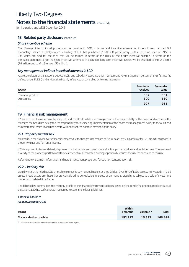### Notes to the financial statements (continued)

for the period ended 31 December 2016

#### **18 Related party disclosure** (continued)

#### *Share incentive scheme*

The Manager intends to adopt, as soon as possible in 2017, a bonus and incentive scheme for its employees. Lexshell 615 Proprietary Limited, a wholly-owned subsidiary of LHL has purchased 2 631 500 participatory units at an issue price of R9.50 a unit which are held for the trust that will be formed in terms of the rules of the future incentive scheme. In terms of the pre-listing statement, once the share incentive scheme is in operation, long-term incentive awards will be awarded to Mrs A Beattie (R4 million) and to Mr J Sturgeon (R3 million).

#### *Key management indirect beneficial interests in L2D*

Aggregate details of transactions between L2D, any subsidiary, associate or joint venture and key management personnel, their families (as defined under IAS 24) and entities significantly influenced or controlled by key management:

| <b>R'OOO</b>       | <b>Premiums</b><br>received | <b>Surrender</b><br>value |
|--------------------|-----------------------------|---------------------------|
| Insurance products | 307                         | 351                       |
| Direct units       | 600                         | 630                       |
|                    | 907                         | 981                       |

#### **19 Financial risk management**

L2D is exposed to market risk, liquidity risk and credit risk. While risk management is the responsibility of the board of directors of the Manager, the board has delegated the responsibility for overseeing implementation of the board risk management policy to the audit and risk committee, which in addition hereto will also assist the board in developing the policy.

#### *19.1 Property market risk*

Market risk is the risk of adverse financial impacts due to changes in fair values of future cash flows, in particular for L2D, from fluctuations in property values and / or rental income.

L2D is exposed to tenant default, depressed market rentals and unlet space affecting property values and rental income. The managed diversity of the property portfolio and the existence of multi-tenanted buildings specifically reduces the risk the exposure to this risk.

Refer to note 4 Segment information and note 5 Investment properties, for detail on concentration risk.

#### *19.2 Liquidity risk*

Liquidity risk is the risk that L2D is not able to meet its payment obligations as they fall due. Over 65% of L2D's assets are invested in illiquid assets. Illiquid assets are those that are considered to be realisable in excess of six months. Liquidity is subject to a sale of investment property and related time frame.

The table below summarises the maturity profile of the financial instrument liabilities based on the remaining undiscounted contractual obligations. L2D has sufficient cash resources to cover the following liabilities.

#### Financial liabilities

#### *As at 31 December 2016*

| <b>R'OOO</b>             | Within<br>3 months | Variable <sup>(1)</sup> | <b>Total</b> |
|--------------------------|--------------------|-------------------------|--------------|
| Trade and other payables | 152 917            | 15 5 3 2                | 168449       |

*(1) Variable includes rental deposits refundable to lessees on lease expiry.*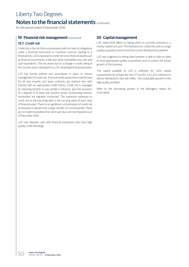### Notes to the financial statements (continued)

for the period ended 31 December 2016

#### **19 Financial risk management** (continued)

#### *19.3 Credit risk*

Credit risk is the risk that a counterparty will not meet its obligations under a financial instrument or customer contract, leading to a financial loss. L2D is exposed to credit risk on its financial assets such as financial investments, trade and other receivables and cash and cash equivalents. The risk arises due to a change in credit rating of the counter party subsequent to L2D obtaining the financial assets.

L2D has formal policies and procedures in place to ensure management of credit risk. A formal credit assessment is performed for all new tenants and lease contracts are entered into with tenants with an appropriate credit history. Credit risk is managed by requiring tenants to pay rentals in advance, plus the provision of a deposit of at least one month's rental. Outstanding tenants' receivables are regularly monitored. The maximum exposure to credit risk at the reporting date is the carrying value of each class of financial asset. There is no significant concentration of credit risk as exposure is spread over a large number of counterparties. There are no trade receivables that were past due and not impaired as at 31 December 2016.

L2D only deposits cash with financial institutions that have high quality credit standings.

#### **20 Capital management**

L2D raised R2.8 billion on listing which is currently invested in a money market account. The intention is to utilise the cash on a high quality acquisition and to fund the current development pipeline.

L2D was ungeared on listing date however is able to take on debt to fund appropriate quality acquisitions, and to sustain the future growth of the business.

The capital available to L2D is sufficient for L2D's capital requirements for at least the next 12 months. It is L2D's intention to deliver distributions that will reflect the sustainable growth in the high quality portfolio.

Refer to the borrowing powers in the Manager's report for more detail.

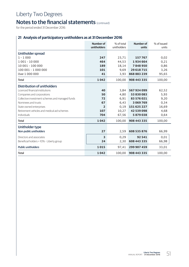# Notes to the financial statements (continued)

for the period ended 31 December 2016

### **21 Analysis of participatory unitholders as at 31 December 2016**

|                                                 | <b>Number of</b><br>unitholders | % of total<br>unitholders | Number of<br>units | % of issued<br>units |
|-------------------------------------------------|---------------------------------|---------------------------|--------------------|----------------------|
| Unitholder spread                               |                                 |                           |                    |                      |
| $1 - 1000$                                      | 247                             | 23,71                     | 157767             | 0,02                 |
| 1 001 - 10 000                                  | 464                             | 44,53                     | 1934664            | 0,21                 |
| 10 001 - 100 000                                | 189                             | 18,14                     | 7848950            | 0,86                 |
| 100 001 - 1 000 000                             | 101                             | 9,69                      | 29 618 715         | 3,26                 |
| Over 1 000 000                                  | 41                              | 3,93                      | 868 883 239        | 95,65                |
| <b>Total</b>                                    | 1042                            | 100,00                    | 908 443 335        | 100,00               |
| <b>Distribution of unitholders</b>              |                                 |                           |                    |                      |
| Licenced financial institutions                 | 40                              | 3,84                      | 567924099          | 62,52                |
| Companies and corporations                      | 50                              | 4,80                      | 53 830 083         | 5,93                 |
| Collective investment schemes and managed funds | 72                              | 6,91                      | 83 576 021         | 9,20                 |
| Nominees and trusts                             | 67                              | 6,43                      | 3 069 769          | 0,34                 |
| State owned enterprises                         | $\overline{2}$                  | 0,19                      | 151 625 227        | 16,69                |
| Retirement vehicles and medical aid schemes     | 107                             | 10,27                     | 42 539 098         | 4,68                 |
| Individuals                                     | 704                             | 67,56                     | 5879038            | 0,64                 |
| <b>Total</b>                                    | 1042                            | 100,00                    | 908 443 335        | 100,00               |
| Unitholder type                                 |                                 |                           |                    |                      |
| Non-public unitholders                          | 27                              | 2,59                      | 608 535 876        | 66,99                |
| Directors and associates                        | 3                               | 0,29                      | 92 541             | 0,01                 |
| Beneficial holders > 10% - Liberty group        | 24                              | 2,30                      | 608 443 335        | 66,98                |
| <b>Public unitholders</b>                       | 1015                            | 97,41                     | 299 907 459        | 33,01                |
| <b>Total</b>                                    | 1042                            | 100,00                    | 908 443 335        | 100,00               |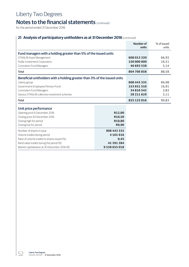# Notes to the financial statements (continued)

for the period ended 31 December 2016

### **21 Analysis of participatory unitholders as at 31 December 2016** (continued)

|                                                                           |                    | <b>Number of</b><br>units | % of issued<br>units |
|---------------------------------------------------------------------------|--------------------|---------------------------|----------------------|
| Fund managers with a holding greater than 5% of the issued units          |                    |                           |                      |
| <b>STANLIB Asset Management</b>                                           |                    | 608 013 320               | 66,93                |
| Public Investment Corporation                                             |                    | 150 000 000               | 16,51                |
| <b>Coronation Fund Managers</b>                                           |                    | 46 693 538                | 5,14                 |
| <b>Total</b>                                                              |                    | 804 706 858               | 88,58                |
| Beneficial unitholders with a holding greater than 3% of the issued units |                    |                           |                      |
| Liberty group                                                             |                    | 608 443 335               | 66,98                |
| Government Employees Pension Fund                                         |                    | 153 651 510               | 16,91                |
| Coronation Fund Managers                                                  |                    | 34 816 542                | 3,83                 |
| Various STANLIB collective investment schemes                             |                    | 28 211 629                | 3,11                 |
| <b>Total</b>                                                              |                    | 825 123 016               | 90,83                |
| Unit price performance                                                    |                    |                           |                      |
| Opening price 6 December 2016                                             | R <sub>12,00</sub> |                           |                      |
| Closing price 30 December 2016                                            | R10,50             |                           |                      |
| Closing high for period                                                   | R10.80             |                           |                      |
| Closing low for period                                                    | <b>R9,90</b>       |                           |                      |
| Number of shares in issue                                                 | 908 443 335        |                           |                      |
| Volume traded during period                                               | 4 101 616          |                           |                      |
| Ratio of volume traded to shares issued (%)                               | 0,45               |                           |                      |
| Rand value traded during the period (R)                                   | 41 391 384         |                           |                      |
| Market capitalisation at 30 December 2016 (R)                             | 9538655018         |                           |                      |